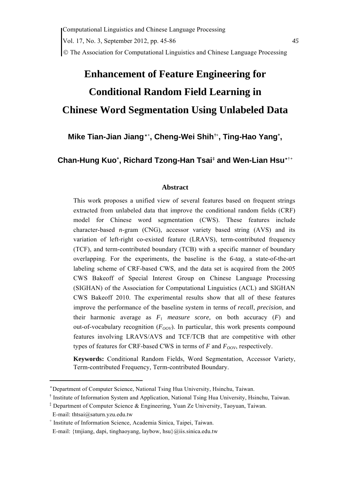# **Enhancement of Feature Engineering for Conditional Random Field Learning in Chinese Word Segmentation Using Unlabeled Data**

**Mike Tian-Jian Jiang**[\\*](#page-0-0)**[+](#page-0-1) , Cheng-Wei Shih[†](#page-0-2)[+](#page-0-1), Ting-Hao Yan[g+](#page-0-1) ,** 

<span id="page-0-4"></span><span id="page-0-1"></span>**Chan-Hung Ku[o+](#page-0-1) , Richard Tzong-Han Tsai[‡](#page-0-3) and Wen-Lian Hsu**[\\*](#page-0-4)[†](#page-0-4)**[+](#page-0-5)**

# **Abstract**

This work proposes a unified view of several features based on frequent strings extracted from unlabeled data that improve the conditional random fields (CRF) model for Chinese word segmentation (CWS). These features include character-based *n*-gram (CNG), accessor variety based string (AVS) and its variation of left-right co-existed feature (LRAVS), term-contributed frequency (TCF), and term-contributed boundary (TCB) with a specific manner of boundary overlapping. For the experiments, the baseline is the *6-tag*, a state-of-the-art labeling scheme of CRF-based CWS, and the data set is acquired from the 2005 CWS Bakeoff of Special Interest Group on Chinese Language Processing (SIGHAN) of the Association for Computational Linguistics (ACL) and SIGHAN CWS Bakeoff 2010. The experimental results show that all of these features improve the performance of the baseline system in terms of *recall*, *precision*, and their harmonic average as  $F_1$  measure score, on both accuracy  $(F)$  and out-of-vocabulary recognition  $(F_{OOV})$ . In particular, this work presents compound features involving LRAVS/AVS and TCF/TCB that are competitive with other types of features for CRF-based CWS in terms of  $F$  and  $F_{OOV}$ , respectively.

**Keywords:** Conditional Random Fields, Word Segmentation, Accessor Variety, Term-contributed Frequency, Term-contributed Boundary.

<span id="page-0-0"></span><sup>\*</sup> Department of Computer Science, National Tsing Hua University, Hsinchu, Taiwan.

<span id="page-0-2"></span><sup>†</sup> Institute of Information System and Application, National Tsing Hua University, Hsinchu, Taiwan.

<span id="page-0-3"></span><sup>‡</sup> Department of Computer Science & Engineering, Yuan Ze University, Taoyuan, Taiwan.

E-mail: thtsai@saturn.yzu.edu.tw

<span id="page-0-5"></span><sup>+</sup> Institute of Information Science, Academia Sinica, Taipei, Taiwan.

E-mail: {tmjiang, dapi, tinghaoyang, laybow, hsu}@iis.sinica.edu.tw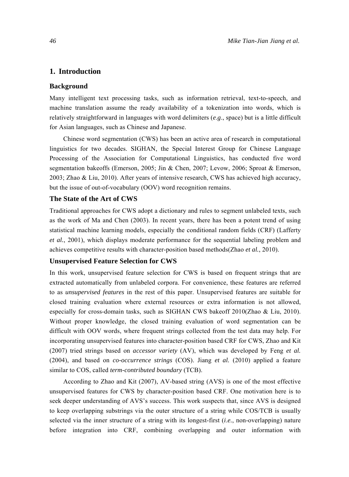## **1. Introduction**

#### **Background**

Many intelligent text processing tasks, such as information retrieval, text-to-speech, and machine translation assume the ready availability of a tokenization into words, which is relatively straightforward in languages with word delimiters (*e*.*g*., space) but is a little difficult for Asian languages, such as Chinese and Japanese.

Chinese word segmentation (CWS) has been an active area of research in computational linguistics for two decades. SIGHAN, the Special Interest Group for Chinese Language Processing of the Association for Computational Linguistics, has conducted five word segmentation bakeoffs [\(Emerson, 2005;](#page-27-0) [Jin & Chen, 2007;](#page-27-0) [Levow, 2006](#page-28-0); [Sproat & Emerson,](#page-28-0)  [2003](#page-28-0); [Zhao & Liu, 2010\)](#page-29-0). After years of intensive research, CWS has achieved high accuracy, but the issue of out-of-vocabulary (OOV) word recognition remains.

#### **The State of the Art of CWS**

Traditional approaches for CWS adopt a dictionary and rules to segment unlabeled texts, such as the work of [Ma and Chen \(2003](#page-28-0)). In recent years, there has been a potent trend of using statistical machine learning models, especially the conditional random fields (CRF) [\(Lafferty](#page-28-0) *et al.*[, 2001](#page-28-0)), which displays moderate performance for the sequential labeling problem and achieves competitive results with character-position based methods(Zhao *et al.*[, 2010\)](#page-29-0).

#### **Unsupervised Feature Selection for CWS**

In this work, unsupervised feature selection for CWS is based on frequent strings that are extracted automatically from unlabeled corpora. For convenience, these features are referred to as *unsupervised features* in the rest of this paper. Unsupervised features are suitable for closed training evaluation where external resources or extra information is not allowed, especially for cross-domain tasks, such as SIGHAN CWS bakeoff 2010[\(Zhao & Liu, 2010\)](#page-29-0). Without proper knowledge, the closed training evaluation of word segmentation can be difficult with OOV words, where frequent strings collected from the test data may help. For incorporating unsupervised features into character-position based CRF for CWS, [Zhao and Kit](#page-29-0)  [\(2007](#page-29-0)) tried strings based on *accessor variety* (AV), which was developed by Feng *[et al.](#page-27-0)* [\(2004](#page-27-0)), and based on *co-occurrence strings* (COS). Jiang *et al.* [\(2010\)](#page-27-0) applied a feature similar to COS, called *term-contributed boundary* (TCB).

According to [Zhao and Kit \(2007](#page-29-0)), AV-based string (AVS) is one of the most effective unsupervised features for CWS by character-position based CRF. One motivation here is to seek deeper understanding of AVS's success. This work suspects that, since AVS is designed to keep overlapping substrings via the outer structure of a string while COS/TCB is usually selected via the inner structure of a string with its longest-first (*i*.*e.*, non-overlapping) nature before integration into CRF, combining overlapping and outer information with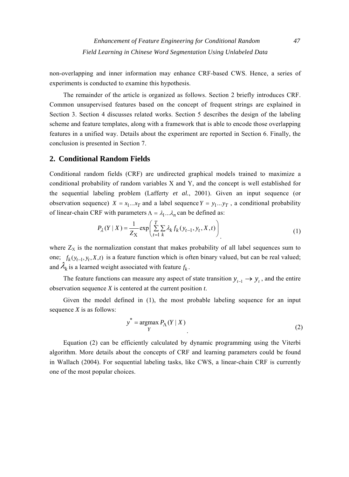non-overlapping and inner information may enhance CRF-based CWS. Hence, a series of experiments is conducted to examine this hypothesis.

The remainder of the article is organized as follows. Section 2 briefly introduces CRF. Common unsupervised features based on the concept of frequent strings are explained in Section 3. Section 4 discusses related works. Section 5 describes the design of the labeling scheme and feature templates, along with a framework that is able to encode those overlapping features in a unified way. Details about the experiment are reported in Section 6. Finally, the conclusion is presented in Section 7.

## **2. Conditional Random Fields**

Conditional random fields (CRF) are undirected graphical models trained to maximize a conditional probability of random variables X and Y, and the concept is well established for the sequential labeling problem [\(Lafferty](#page-28-0) *et al.*, 2001). Given an input sequence (or observation sequence)  $X = x_1...x_T$  and a label sequence  $Y = y_1...y_T$ , a conditional probability of linear-chain CRF with parameters  $\Lambda = \lambda_1 ... \lambda_n$  can be defined as:

$$
P_{\lambda}(Y \mid X) = \frac{1}{Z_{X}} \exp\left(\sum_{t=1}^{T} \sum_{k} \lambda_{k} f_{k}(y_{t-1}, y_{t}, X, t)\right)
$$
(1)

where  $Z_x$  is the normalization constant that makes probability of all label sequences sum to one;  $f_k(y_{t-1}, y_t, X, t)$  is a feature function which is often binary valued, but can be real valued; and  $\lambda_k$  is a learned weight associated with feature  $f_k$ .

The feature functions can measure any aspect of state transition  $y_{t-1} \rightarrow y_t$ , and the entire observation sequence *X* is centered at the current position *t*.

Given the model defined in (1), the most probable labeling sequence for an input sequence *X* is as follows:

$$
y^* = \underset{Y}{\text{argmax}} P_{\Lambda}(Y | X)
$$
 (2)

Equation (2) can be efficiently calculated by dynamic programming using the Viterbi algorithm. More details about the concepts of CRF and learning parameters could be found in [Wallach \(2004\)](#page-29-0). For sequential labeling tasks, like CWS, a linear-chain CRF is currently one of the most popular choices.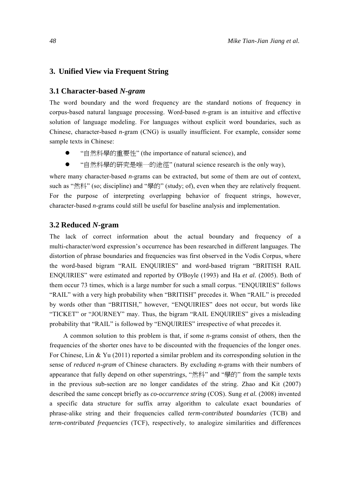## **3. Unified View via Frequent String**

#### **3.1 Character-based** *N-gram*

The word boundary and the word frequency are the standard notions of frequency in corpus-based natural language processing. Word-based *n*-gram is an intuitive and effective solution of language modeling. For languages without explicit word boundaries, such as Chinese, character-based *n*-gram (CNG) is usually insufficient. For example, consider some sample texts in Chinese:

- "自然科學的重要性" (the importance of natural science), and
- "自然科學的研究是唯一的途徑" (natural science research is the only way),

where many character-based *n*-grams can be extracted, but some of them are out of context, such as "然科" (so; discipline) and "學的" (study; of), even when they are relatively frequent. For the purpose of interpreting overlapping behavior of frequent strings, however, character-based *n*-grams could still be useful for baseline analysis and implementation.

## **3.2 Reduced** *N***-gram**

The lack of correct information about the actual boundary and frequency of a multi-character/word expression's occurrence has been researched in different languages. The distortion of phrase boundaries and frequencies was first observed in the Vodis Corpus, where the word-based bigram "RAIL ENQUIRIES" and word-based trigram "BRITISH RAIL ENQUIRIES" were estimated and reported by [O'Boyle \(1993](#page-28-0)) and Ha *et al.* [\(2005\)](#page-27-0). Both of them occur 73 times, which is a large number for such a small corpus. "ENQUIRIES" follows "RAIL" with a very high probability when "BRITISH" precedes it. When "RAIL" is preceded by words other than "BRITISH," however, "ENQUIRIES" does not occur, but words like "TICKET" or "JOURNEY" may. Thus, the bigram "RAIL ENQUIRIES" gives a misleading probability that "RAIL" is followed by "ENQUIRIES" irrespective of what precedes it.

A common solution to this problem is that, if some *n*-grams consist of others, then the frequencies of the shorter ones have to be discounted with the frequencies of the longer ones. For Chinese, Lin & Yu (2011) reported a similar problem and its corresponding solution in the sense of *reduced n-gram* of Chinese characters. By excluding *n*-grams with their numbers of appearance that fully depend on other superstrings, "然科" and "學的" from the sample texts in the previous sub-section are no longer candidates of the string. [Zhao and Kit \(2007\)](#page-29-0) described the same concept briefly as *co-occurrence string* (COS). Sung *et al.* [\(2008\)](#page-29-0) invented a specific data structure for suffix array algorithm to calculate exact boundaries of phrase-alike string and their frequencies called *term-contributed boundaries* (TCB) and *term-contributed frequencies* (TCF), respectively, to analogize similarities and differences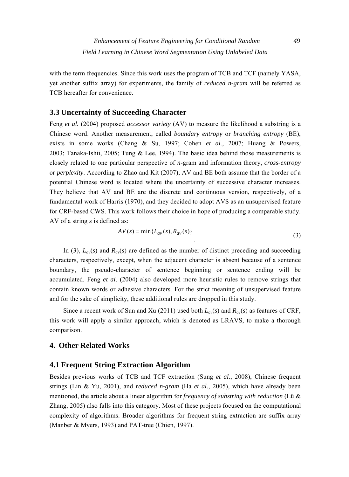with the term frequencies. Since this work uses the program of TCB and TCF (namely YASA, yet another suffix array) for experiments, the family of *reduced n-gram* will be referred as TCB hereafter for convenience.

# **3.3 Uncertainty of Succeeding Character**

Feng *et al.* [\(2004\)](#page-27-0) proposed *accessor variety* (AV) to measure the likelihood a substring is a Chinese word. Another measurement, called *boundary entropy* or *branching entropy* (BE), exists in some works ([Chang & Su, 1997](#page-27-0); Cohen *[et al.](#page-27-0)*, 2007; [Huang & Powers,](#page-27-0)  [2003](#page-27-0); [Tanaka-Ishii, 2005](#page-29-0); [Tung & Lee, 1994\)](#page-29-0). The basic idea behind those measurements is closely related to one particular perspective of *n*-gram and information theory, *cross-entropy* or *perplexity*. According to [Zhao and Kit \(2007](#page-29-0)), AV and BE both assume that the border of a potential Chinese word is located where the uncertainty of successive character increases. They believe that AV and BE are the discrete and continuous version, respectively, of a fundamental work of [Harris \(1970](#page-27-0)), and they decided to adopt AVS as an unsupervised feature for CRF-based CWS. This work follows their choice in hope of producing a comparable study. AV of a string *s* is defined as:

$$
AV(s) = \min\{L_{av}(s), R_{av}(s)\}\tag{3}
$$

In (3),  $L_{av}(s)$  and  $R_{av}(s)$  are defined as the number of distinct preceding and succeeding characters, respectively, except, when the adjacent character is absent because of a sentence boundary, the pseudo-character of sentence beginning or sentence ending will be accumulated. Feng *et al*[. \(2004](#page-27-0)) also developed more heuristic rules to remove strings that contain known words or adhesive characters. For the strict meaning of unsupervised feature and for the sake of simplicity, these additional rules are dropped in this study.

Since a recent work of [Sun and Xu \(2011\)](#page-28-0) used both  $L_{av}(s)$  and  $R_{av}(s)$  as features of CRF, this work will apply a similar approach, which is denoted as LRAVS, to make a thorough comparison.

# **4. Other Related Works**

# **4.1 Frequent String Extraction Algorithm**

Besides previous works of TCB and TCF extraction (Sung *et al.*[, 2008](#page-29-0)), Chinese frequent strings [\(Lin & Yu, 2001\)](#page-28-0), and *reduced n-gram* (Ha *et al.*[, 2005](#page-27-0)), which have already been mentioned, the article about a linear algorithm for *frequency of substring with reduction* [\(Lü &](#page-27-0)  [Zhang, 2005](#page-27-0)) also falls into this category. Most of these projects focused on the computational complexity of algorithms. Broader algorithms for frequent string extraction are suffix array ([Manber & Myers, 1993](#page-28-0)) and PAT-tree ([Chien, 1997\)](#page-27-0).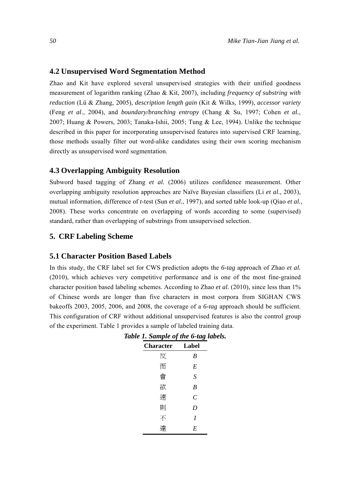#### **4.2 Unsupervised Word Segmentation Method**

Zhao and Kit have explored several unsupervised strategies with their unified goodness measurement of logarithm ranking [\(Zhao & Kit, 2007\)](#page-29-0), including *frequency of substring with reduction* [\(Lü & Zhang, 2005\)](#page-27-0), *description length gain* [\(Kit & Wilks, 1999\)](#page-27-0), *accessor variety*  (Feng *et al*[., 2004\)](#page-27-0), and *boundary/branching entropy* [\(Chang & Su, 1997;](#page-27-0) Cohen *[et al.](#page-27-0)*, [2007](#page-27-0); [Huang & Powers, 2003](#page-27-0); [Tanaka-Ishii, 2005](#page-29-0); [Tung & Lee, 1994\)](#page-29-0). Unlike the technique described in this paper for incorporating unsupervised features into supervised CRF learning, those methods usually filter out word-alike candidates using their own scoring mechanism directly as unsupervised word segmentation.

#### **4.3 Overlapping Ambiguity Resolution**

Subword based tagging of Zhang *et al.* [\(2006\)](#page-29-0) utilizes confidence measurement. Other overlapping ambiguity resolution approaches are Naïve Bayesian classifiers (Li *et al.*[, 2003\)](#page-28-0), mutual information, difference of *t*-test (Sun *et al.*[, 1997\)](#page-28-0), and sorted table look-up (Qiao *[et al.](#page-28-0)*, [2008\)](#page-28-0). These works concentrate on overlapping of words according to some (supervised) standard, rather than overlapping of substrings from unsupervised selection.

## **5. CRF Labeling Scheme**

#### **5.1 Character Position Based Labels**

<span id="page-5-0"></span>In this study, the CRF label set for CWS prediction adopts the *6-tag* approach of Zhao *[et al.](#page-29-0)* [\(2010](#page-29-0)), which achieves very competitive performance and is one of the most fine-grained character position based labeling schemes. According to Zhao *et al.* [\(2010\)](#page-29-0), since less than 1% of Chinese words are longer than five characters in most corpora from SIGHAN CWS bakeoffs 2003, 2005, 2006, and 2008, the coverage of a *6-tag* approach should be sufficient. This configuration of CRF without additional unsupervised features is also the control group of the experiment. [Table 1](#page-5-0) provides a sample of labeled training data.

| avic 1. sampic vj inc o-iag iavci |                       |  |
|-----------------------------------|-----------------------|--|
| <b>Character</b>                  | Label                 |  |
| 反                                 | B                     |  |
| 而                                 | E                     |  |
| 會                                 | $\boldsymbol{S}$      |  |
| 欲                                 | $\boldsymbol{B}$      |  |
| 速                                 | $\mathcal{C}_{0}^{0}$ |  |
| 則                                 | D                     |  |
| 不                                 | I                     |  |
|                                   | E                     |  |

| Table 1. Sample of the 6-tag labels. |               |  |
|--------------------------------------|---------------|--|
| Character                            | <b>I</b> shal |  |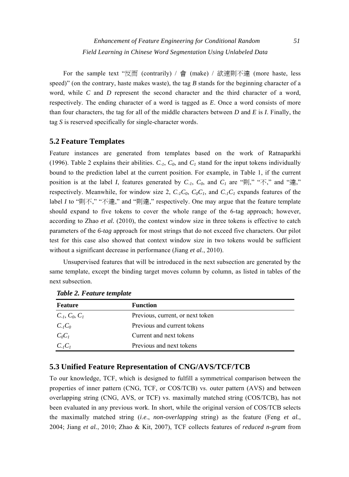For the sample text "反而 (contrarily) / 會 (make) / 欲速則不達 (more haste, less speed)" (on the contrary, haste makes waste), the tag  $B$  stands for the beginning character of a word, while *C* and *D* represent the second character and the third character of a word, respectively. The ending character of a word is tagged as *E*. Once a word consists of more than four characters, the tag for all of the middle characters between *D* and *E* is *I*. Finally, the tag *S* is reserved specifically for single-character words.

# **5.2 Feature Templates**

Feature instances are generated from templates based on the work of [Ratnaparkhi](#page-28-0)  [\(1996](#page-28-0)). [Table 2](#page-6-0) explains their abilities.  $C_{-1}$ ,  $C_0$ , and  $C_1$  stand for the input tokens individually bound to the prediction label at the current position. For example, in [Table 1,](#page-5-0) if the current position is at the label *I*, features generated by  $C_{-1}$ ,  $C_0$ , and  $C_1$  are "則," " $\overline{\wedge}$ ," and "達," respectively. Meanwhile, for window size 2,  $C_{1}C_{0}$ ,  $C_{0}C_{1}$ , and  $C_{1}C_{1}$  expands features of the label *I* to "則不," "不達," and "則達," respectively. One may argue that the feature template should expand to five tokens to cover the whole range of the 6-tag approach; however, according to Zhao *et al.* [\(2010](#page-29-0)), the context window size in three tokens is effective to catch parameters of the *6-tag* approach for most strings that do not exceed five characters. Our pilot test for this case also showed that context window size in two tokens would be sufficient without a significant decrease in performance (Jiang *et al.*[, 2010\)](#page-27-0).

Unsupervised features that will be introduced in the next subsection are generated by the same template, except the binding target moves column by column, as listed in tables of the next subsection.

<span id="page-6-0"></span>

| Feature            | <b>Function</b>                  |
|--------------------|----------------------------------|
| $C_{-1}, C_0, C_1$ | Previous, current, or next token |
| $C_{-1}C_0$        | Previous and current tokens      |
| $C_0C_1$           | Current and next tokens          |
| $C_{-I}C_I$        | Previous and next tokens         |

*Table 2. Feature template* 

# **5.3 Unified Feature Representation of CNG/AVS/TCF/TCB**

To our knowledge, TCF, which is designed to fulfill a symmetrical comparison between the properties of inner pattern (CNG, TCF, or COS/TCB) vs. outer pattern (AVS) and between overlapping string (CNG, AVS, or TCF) vs. maximally matched string (COS/TCB), has not been evaluated in any previous work. In short, while the original version of COS/TCB selects the maximally matched string (*i*.*e*., *non-overlapping* string) as the feature (Feng *[et al.](#page-27-0)*, [2004](#page-27-0); Jiang *et al.*[, 2010](#page-27-0); [Zhao & Kit, 2007\)](#page-29-0), TCF collects features of *reduced n-gram* from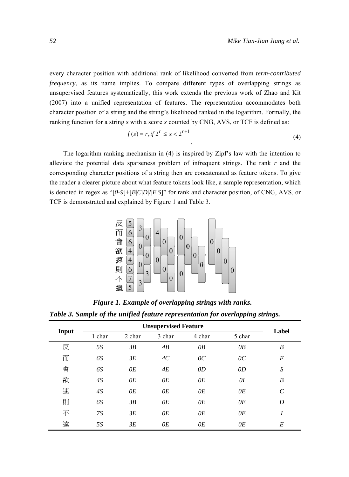every character position with additional rank of likelihood converted from *term-contributed frequency*, as its name implies. To compare different types of overlapping strings as unsupervised features systematically, this work extends the previous work of [Zhao and Kit](#page-29-0)  [\(2007](#page-29-0)) into a unified representation of features. The representation accommodates both character position of a string and the string's likelihood ranked in the logarithm. Formally, the ranking function for a string *s* with a score *x* counted by CNG, AVS, or TCF is defined as:

$$
f(s) = r, \text{ if } 2^r \le x < 2^{r+1} \tag{4}
$$

The logarithm ranking mechanism in (4) is inspired by Zipf's law with the intention to alleviate the potential data sparseness problem of infrequent strings. The rank *r* and the corresponding character positions of a string then are concatenated as feature tokens. To give the reader a clearer picture about what feature tokens look like, a sample representation, which is denoted in regex as "[*0*-*9*]+[*B*|*C*|*D*|*I*|*E*|*S*]" for rank and character position, of CNG, AVS, or TCF is demonstrated and explained by [Figure 1](#page-7-0) and [Table 3.](#page-7-1)



*Figure 1. Example of overlapping strings with ranks.* 

<span id="page-7-0"></span>

|  |  |  | Table 3. Sample of the unified feature representation for overlapping strings. |  |
|--|--|--|--------------------------------------------------------------------------------|--|
|  |  |  |                                                                                |  |
|  |  |  |                                                                                |  |

<span id="page-7-1"></span>

| Input |           | Label  |        |                 |                 |                  |
|-------|-----------|--------|--------|-----------------|-----------------|------------------|
|       | 1 char    | 2 char | 3 char | 4 char          | 5 char          |                  |
| 反     | <i>5S</i> | 3B     | 4B     | $\overline{OB}$ | $\overline{OB}$ | $\boldsymbol{B}$ |
| 而     | 6S        | 3E     | AC     | $\overline{0}C$ | $\overline{0}C$ | E                |
| 會     | 6S        | 0E     | 4E     | 0D              | OD              | S                |
| 欲     | 4S        | 0E     | 0E     | 0E              | O I             | B                |
| 速     | 4S        | 0E     | 0E     | 0E              | 0E              | $\mathcal{C}$    |
| 則     | 6S        | 3B     | 0E     | 0E              | 0E              | D                |
| 不     | 7S        | 3E     | 0E     | 0E              | 0E              | I                |
| 達     | <i>5S</i> | 3E     | 0E     | 0E              | 0E              | E                |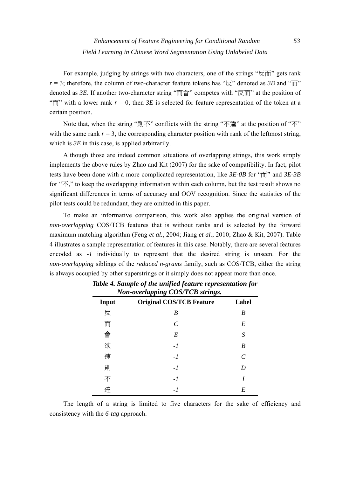For example, judging by strings with two characters, one of the strings "反而" gets rank  $r = 3$ ; therefore, the column of two-character feature tokens has " $\overline{\nabla}$ " denoted as *3B* and " $\overline{\text{m}}$ " denoted as *3E*. If another two-character string " $\overline{m}$   $\hat{m}$ " competes with " $\overline{R}$   $\overline{m}$ " at the position of " $\overline{m}$ " with a lower rank  $r = 0$ , then *3E* is selected for feature representation of the token at a certain position.

Note that, when the string "則不" conflicts with the string "不達" at the position of "不" with the same rank  $r = 3$ , the corresponding character position with rank of the leftmost string, which is  $3E$  in this case, is applied arbitrarily.

Although those are indeed common situations of overlapping strings, this work simply implements the above rules by [Zhao and Kit \(2007\)](#page-29-0) for the sake of compatibility. In fact, pilot tests have been done with a more complicated representation, like *3E-0B* for "而" and *3E-3B* for "不," to keep the overlapping information within each column, but the test result shows no significant differences in terms of accuracy and OOV recognition. Since the statistics of the pilot tests could be redundant, they are omitted in this paper.

<span id="page-8-0"></span>To make an informative comparison, this work also applies the original version of *non-overlapping* COS/TCB features that is without ranks and is selected by the forward maximum matching algorithm (Feng *et al.*[, 2004](#page-27-0); Jiang *et al.*[, 2010](#page-27-0); [Zhao & Kit, 2007\)](#page-29-0). [Table](#page-8-0)  [4](#page-8-0) illustrates a sample representation of features in this case. Notably, there are several features encoded as *-1* individually to represent that the desired string is unseen. For the *non-overlapping* siblings of the *reduced n-grams* family, such as COS/TCB, either the string is always occupied by other superstrings or it simply does not appear more than once.

| Non-overlapping COS/TCB strings. |                                 |                             |  |  |  |  |
|----------------------------------|---------------------------------|-----------------------------|--|--|--|--|
| Input                            | <b>Original COS/TCB Feature</b> | Label                       |  |  |  |  |
| 反                                | B                               | B                           |  |  |  |  |
| 而                                | C                               | E                           |  |  |  |  |
| 會                                | E                               | S                           |  |  |  |  |
| 欲                                | $-1$                            | B                           |  |  |  |  |
| 速                                | $-l$                            | $\mathcal{C}_{\mathcal{C}}$ |  |  |  |  |
| 則                                | $-1$                            | D                           |  |  |  |  |
| 不                                | $-1$                            | I                           |  |  |  |  |
| 達                                | - 1                             | E                           |  |  |  |  |

 *Table 4. Sample of the unified feature representation for* 

The length of a string is limited to five characters for the sake of efficiency and consistency with the *6-tag* approach.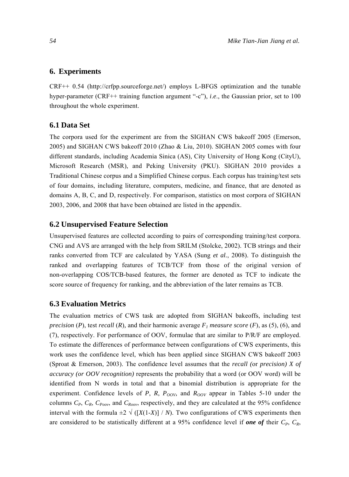## **6. Experiments**

CRF++ 0.54 (http://crfpp.sourceforge.net/) employs L-BFGS optimization and the tunable hyper-parameter (CRF++ training function argument "-c"), *i*.*e*., the Gaussian prior, set to 100 throughout the whole experiment.

## **6.1 Data Set**

The corpora used for the experiment are from the SIGHAN CWS bakeoff 2005 [\(Emerson,](#page-27-0)  [2005\)](#page-27-0) and SIGHAN CWS bakeoff 2010 ([Zhao & Liu, 2010\)](#page-29-0). SIGHAN 2005 comes with four different standards, including Academia Sinica (AS), City University of Hong Kong (CityU), Microsoft Research (MSR), and Peking University (PKU). SIGHAN 2010 provides a Traditional Chinese corpus and a Simplified Chinese corpus. Each corpus has training/test sets of four domains, including literature, computers, medicine, and finance, that are denoted as domains A, B, C, and D, respectively. For comparison, statistics on most corpora of SIGHAN 2003, 2006, and 2008 that have been obtained are listed in the appendix.

## **6.2 Unsupervised Feature Selection**

Unsupervised features are collected according to pairs of corresponding training/test corpora. CNG and AVS are arranged with the help from SRILM ([Stolcke, 2002\)](#page-28-0). TCB strings and their ranks converted from TCF are calculated by YASA (Sung *et al.*[, 2008](#page-29-0)). To distinguish the ranked and overlapping features of TCB/TCF from those of the original version of non-overlapping COS/TCB-based features, the former are denoted as TCF to indicate the score source of frequency for ranking, and the abbreviation of the later remains as TCB.

## **6.3 Evaluation Metrics**

The evaluation metrics of CWS task are adopted from SIGHAN bakeoffs, including test *precision* (*P*), test *recall* (*R*), and their harmonic average  $F_1$  measure score (*F*), as (5), (6), and (7), respectively. For performance of OOV, formulae that are similar to P/R/F are employed. To estimate the differences of performance between configurations of CWS experiments, this work uses the confidence level, which has been applied since SIGHAN CWS bakeoff 2003 ([Sproat & Emerson, 2003\)](#page-28-0). The confidence level assumes that the *recall (*or *precision) X of accuracy (or OOV recognition)* represents the probability that a word (or OOV word) will be identified from N words in total and that a binomial distribution is appropriate for the experiment. Confidence levels of *P*, *R*,  $P_{OOV}$ , and  $R_{OOV}$  appear in Tables 5-10 under the columns  $C_P$ ,  $C_R$ ,  $C_{Poov}$ , and  $C_{Roov}$ , respectively, and they are calculated at the 95% confidence interval with the formula  $\pm 2 \sqrt{([X(1-X)]/N)}$ . Two configurations of CWS experiments then are considered to be statistically different at a 95% confidence level if **one of** their  $C_P$ ,  $C_R$ ,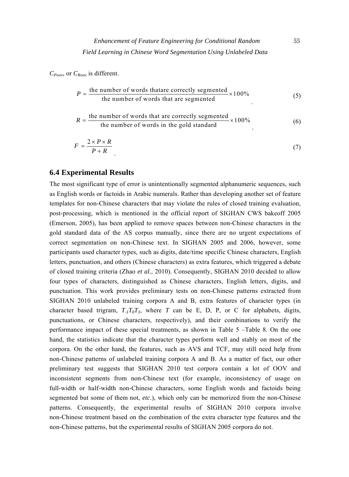*CPoov*, or *CRoov* is different.

$$
P = \frac{\text{the number of words that are correctly segmented}}{\text{the number of words that are segmented}} \times 100\%
$$
 (5)  

$$
R = \frac{\text{the number of words that are correctly segmented}}{\text{the number of words in the gold standard}} \times 100\%
$$
 (6)

$$
F = \frac{2 \times P \times R}{P + R} \tag{7}
$$

## **6.4 Experimental Results**

The most significant type of error is unintentionally segmented alphanumeric sequences, such as English words or factoids in Arabic numerals. Rather than developing another set of feature templates for non-Chinese characters that may violate the rules of closed training evaluation, post-processing, which is mentioned in the official report of SIGHAN CWS bakeoff 2005 ([Emerson, 2005\)](#page-27-0), has been applied to remove spaces between non-Chinese characters in the gold standard data of the AS corpus manually, since there are no urgent expectations of correct segmentation on non-Chinese text. In SIGHAN 2005 and 2006, however, some participants used character types, such as digits, date/time specific Chinese characters, English letters, punctuation, and others (Chinese characters) as extra features, which triggered a debate of closed training criteria (Zhao *et al.*[, 2010\)](#page-29-0). Consequently, SIGHAN 2010 decided to allow four types of characters, distinguished as Chinese characters, English letters, digits, and punctuation. This work provides preliminary tests on non-Chinese patterns extracted from SIGHAN 2010 unlabeled training corpora A and B, extra features of character types (in character based trigram,  $T_{\textit{I}}T_{\textit{O}}T_{\textit{I}}$ , where *T* can be E, D, P, or C for alphabets, digits, punctuations, or Chinese characters, respectively), and their combinations to verify the performance impact of these special treatments, as shown in Table 5 –Table 8. On the one hand, the statistics indicate that the character types perform well and stably on most of the corpora. On the other hand, the features, such as AVS and TCF, may still need help from non-Chinese patterns of unlabeled training corpora A and B. As a matter of fact, our other preliminary test suggests that SIGHAN 2010 test corpora contain a lot of OOV and inconsistent segments from non-Chinese text (for example, inconsistency of usage on full-width or half-width non-Chinese characters, some English words and factoids being segmented but some of them not, *etc*.), which only can be memorized from the non-Chinese patterns. Consequently, the experimental results of SIGHAN 2010 corpora involve non-Chinese treatment based on the combination of the extra character type features and the non-Chinese patterns, but the experimental results of SIGHAN 2005 corpora do not.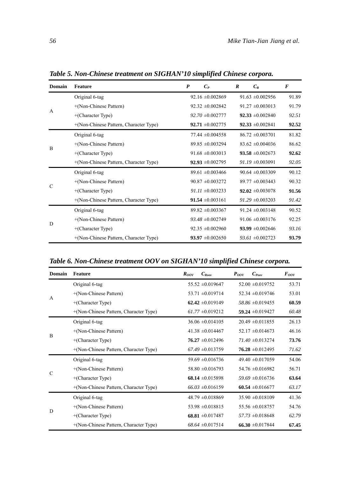| Domain       | <b>Feature</b>                         | $\boldsymbol{P}$ | $C_P$                | $\boldsymbol{R}$ | $C_R$                | $\bm{F}$ |
|--------------|----------------------------------------|------------------|----------------------|------------------|----------------------|----------|
|              | Original 6-tag                         |                  | $92.16 \pm 0.002869$ |                  | $91.63 \pm 0.002956$ | 91.89    |
|              | +(Non-Chinese Pattern)                 |                  | $92.32 \pm 0.002842$ |                  | $91.27 \pm 0.003013$ | 91.79    |
| $\mathsf{A}$ | $+(Character Type)$                    |                  | $92.70 \pm 0.002777$ |                  | $92.33 \pm 0.002840$ | 92.51    |
|              | +(Non-Chinese Pattern, Character Type) |                  | 92.71 $\pm 0.002775$ |                  | $92.33 \pm 0.002841$ | 92.52    |
|              | Original 6-tag                         |                  | $77.44 \pm 0.004558$ |                  | $86.72 \pm 0.003701$ | 81.82    |
|              | +(Non-Chinese Pattern)                 |                  | $89.85 \pm 0.003294$ |                  | $83.62 \pm 0.004036$ | 86.62    |
| B            | $+(Character Type)$                    |                  | $91.68 \pm 0.003013$ |                  | 93.58 $\pm 0.002673$ | 92.62    |
|              | +(Non-Chinese Pattern, Character Type) |                  | $92.93 \pm 0.002795$ |                  | $91.19 \pm 0.003091$ | 92.05    |
|              | Original 6-tag                         |                  | $89.61 \pm 0.003466$ |                  | $90.64 \pm 0.003309$ | 90.12    |
|              | $+(Non-Chinese Pattern)$               |                  | $90.87 \pm 0.003272$ |                  | $89.77 \pm 0.003443$ | 90.32    |
| C            | $+(Character Type)$                    |                  | $91.11 \pm 0.003233$ |                  | $92.02 \pm 0.003078$ | 91.56    |
|              | +(Non-Chinese Pattern, Character Type) |                  | $91.54 \pm 0.003161$ |                  | $91.29 \pm 0.003203$ | 91.42    |
|              | Original 6-tag                         |                  | $89.82 \pm 0.003367$ |                  | $91.24 \pm 0.003148$ | 90.52    |
| D            | +(Non-Chinese Pattern)                 |                  | $93.48 \pm 0.002749$ |                  | $91.06 \pm 0.003176$ | 92.25    |
|              | $+(Character Type)$                    |                  | $92.35 \pm 0.002960$ |                  | 93.99 $\pm 0.002646$ | 93.16    |
|              | +(Non-Chinese Pattern, Character Type) |                  | $93.97 \pm 0.002650$ |                  | $93.61 \pm 0.002723$ | 93.79    |

*Table 5. Non-Chinese treatment on SIGHAN'10 simplified Chinese corpora.* 

*Table 6. Non-Chinese treatment OOV on SIGHAN'10 simplified Chinese corpora.* 

| Domain        | <b>Feature</b>                         | $R_{OOV}$ | $C_{\text{Root}}$    | $P_{\rm oov}$ | $C_{\it{Poov}}$      | $F_{\rm oov}$ |
|---------------|----------------------------------------|-----------|----------------------|---------------|----------------------|---------------|
|               | Original 6-tag                         |           | $55.52 \pm 0.019647$ |               | $52.00 \pm 0.019752$ | 53.71         |
|               | +(Non-Chinese Pattern)                 |           | 53.71 $\pm 0.019714$ |               | $52.34 \pm 0.019746$ | 53.01         |
| A             | $+(Character Type)$                    |           | 62.42 $\pm 0.019149$ |               | $58.86 \pm 0.019455$ | 60.59         |
|               | +(Non-Chinese Pattern, Character Type) |           | $61.77 \pm 0.019212$ |               | 59.24 $\pm 0.019427$ | 60.48         |
|               | Original 6-tag                         |           | $36.06 \pm 0.014105$ |               | $20.49 \pm 0.011855$ | 26.13         |
| B             | +(Non-Chinese Pattern)                 |           | 41.38 $\pm 0.014467$ |               | $52.17 \pm 0.014673$ | 46.16         |
|               | $+(Character Type)$                    |           | $76.27 \pm 0.012496$ |               | $71.40 \pm 0.013274$ | 73.76         |
|               | +(Non-Chinese Pattern, Character Type) |           | $67.49 \pm 0.013759$ |               | $76.28 \pm 0.012495$ | 71.62         |
|               | Original 6-tag                         |           | $59.69 \pm 0.016736$ |               | $49.40 \pm 0.017059$ | 54.06         |
| $\mathcal{C}$ | +(Non-Chinese Pattern)                 |           | $58.80 \pm 0.016793$ |               | $54.76 \pm 0.016982$ | 56.71         |
|               | $+(Character Type)$                    |           | 68.14 $\pm 0.015898$ |               | $59.69 \pm 0.016736$ | 63.64         |
|               | +(Non-Chinese Pattern, Character Type) |           | $66.03 \pm 0.016159$ |               | 60.54 $\pm 0.016677$ | 63.17         |
|               | Original 6-tag                         |           | $48.79 \pm 0.018869$ |               | $35.90 \pm 0.018109$ | 41.36         |
|               | +(Non-Chinese Pattern)                 |           | $53.98 \pm 0.018815$ |               | $55.56 \pm 0.018757$ | 54.76         |
| D             | +(Character Type)                      |           | 68.81 $\pm 0.017487$ |               | $57.73 \pm 0.018648$ | 62.79         |
|               | +(Non-Chinese Pattern, Character Type) |           | $68.64 \pm 0.017514$ |               | 66.30 $\pm 0.017844$ | 67.45         |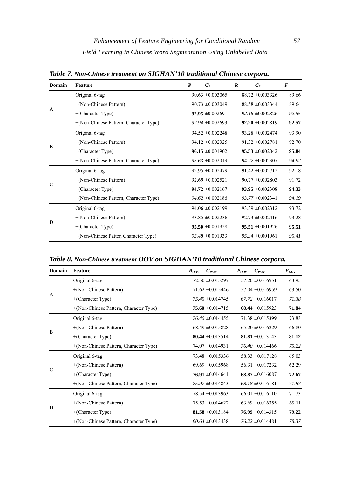**Domain Feature** *P CP R CR F*  A Original 6-tag 90.63 ±0.003065 88.72 ±0.003326 89.66 +(Non-Chinese Pattern) 90.73 ±0.003049 88.58 ±0.003344 89.64 +(Character Type) **92.95** ±0.002691 *92.16* ±0.002826 *92.55*  +(Non-Chinese Pattern, Character Type) *92.94* ±0.002693 **92.20** ±0.002819 **92.57**  B Original 6-tag 93.90  $94.52 \pm 0.002248$  93.28  $\pm 0.002474$  93.90 +(Non-Chinese Pattern) 94.12 ±0.002325 91.32 ±0.002781 92.70 +(Character Type) **96.15** ±0.001902 **95.53** ±0.002042 **95.84**  +(Non-Chinese Pattern, Character Type) *95.63* ±0.002019 *94.22* ±0.002307 *94.92*   ${\bf C}$ Original 6-tag 92.95 ±0.002479 91.42 ±0.002712 92.18 +(Non-Chinese Pattern) 92.69 ±0.002521 90.77 ±0.002803 91.72 +(Character Type) **94.72** ±0.002167 **93.95** ±0.002308 **94.33**  +(Non-Chinese Pattern, Character Type) *94.62* ±0.002186 *93.77* ±0.002341 *94.19*  D Original 6-tag 94.06 ±0.002199 93.39 ±0.002312 93.72 +(Non-Chinese Pattern) 93.85 ±0.002236 92.73 ±0.002416 93.28 +(Character Type) **95.50** ±0.001928 **95.51** ±0.001926 **95.51**  +(Non-Chinese Patter, Character Type) *95.48* ±0.001933 *95.34* ±0.001961 *95.41* 

*Table 7. Non-Chinese treatment on SIGHAN'10 traditional Chinese corpora.* 

*Table 8. Non-Chinese treatment OOV on SIGHAN'10 traditional Chinese corpora.* 

| Domain        | Feature                                | $C_{\text{Row}}$<br>$R_{\text{ov}}$ | $C_{\text{Pow}}$<br>$P_{OOV}$ | $F_{\rm oov}$ |
|---------------|----------------------------------------|-------------------------------------|-------------------------------|---------------|
|               | Original 6-tag                         | $72.50 \pm 0.015297$                | $57.20 \pm 0.016951$          | 63.95         |
| A             | +(Non-Chinese Pattern)                 | $71.62 \pm 0.015446$                | $57.04 \pm 0.016959$          | 63.50         |
|               | $+(Character Type)$                    | $75.45 \pm 0.014745$                | $67.72 \pm 0.016017$          | 71.38         |
|               | +(Non-Chinese Pattern, Character Type) | $75.60 \pm 0.014715$                | 68.44 $\pm 0.015923$          | 71.84         |
|               | Original 6-tag                         | $76.46 \pm 0.014455$                | $71.38 \pm 0.015399$          | 73.83         |
| B             | +(Non-Chinese Pattern)                 | $68.49 \pm 0.015828$                | $65.20 \pm 0.016229$          | 66.80         |
|               | $+(Character Type)$                    | 80.44 $\pm 0.013514$                | 81.81 $\pm 0.013143$          | 81.12         |
|               | +(Non-Chinese Pattern, Character Type) | $74.07 \pm 0.014931$                | $76.40 \pm 0.014466$          | 75.22         |
|               | Original 6-tag                         | $73.48 \pm 0.015336$                | $58.33 \pm 0.017128$          | 65.03         |
| $\mathcal{C}$ | +(Non-Chinese Pattern)                 | $69.69 \pm 0.015968$                | $56.31 \pm 0.017232$          | 62.29         |
|               | $+(Character Type)$                    | 76.91 $\pm 0.014641$                | $68.87 \pm 0.016087$          | 72.67         |
|               | +(Non-Chinese Pattern, Character Type) | $75.97 \pm 0.014843$                | $68.18 \pm 0.016181$          | 71.87         |
|               | Original 6-tag                         | 78.54 ±0.013963                     | $66.01 \pm 0.016110$          | 71.73         |
|               | +(Non-Chinese Pattern)                 | $75.53 \pm 0.014622$                | $63.69 \pm 0.016355$          | 69.11         |
| D             | $+(Character Type)$                    | $81.58 \pm 0.013184$                | $76.99 \pm 0.014315$          | 79.22         |
|               | +(Non-Chinese Pattern, Character Type) | $80.64 \pm 0.013438$                | $76.22 \pm 0.014481$          | 78.37         |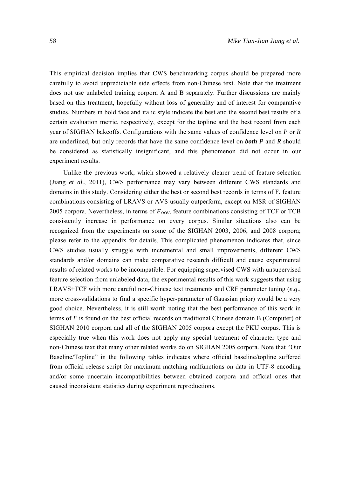This empirical decision implies that CWS benchmarking corpus should be prepared more carefully to avoid unpredictable side effects from non-Chinese text. Note that the treatment does not use unlabeled training corpora A and B separately. Further discussions are mainly based on this treatment, hopefully without loss of generality and of interest for comparative studies. Numbers in bold face and italic style indicate the best and the second best results of a certain evaluation metric, respectively, except for the topline and the best record from each year of SIGHAN bakeoffs. Configurations with the same values of confidence level on *P* or *R* are underlined, but only records that have the same confidence level on *both P* and *R* should be considered as statistically insignificant, and this phenomenon did not occur in our experiment results.

Unlike the previous work, which showed a relatively clearer trend of feature selection (Jiang *[et al.](#page-27-0)*, 2011), CWS performance may vary between different CWS standards and domains in this study. Considering either the best or second best records in terms of F, feature combinations consisting of LRAVS or AVS usually outperform, except on MSR of SIGHAN 2005 corpora. Nevertheless, in terms of  $F_{OOV}$ , feature combinations consisting of TCF or TCB consistently increase in performance on every corpus. Similar situations also can be recognized from the experiments on some of the SIGHAN 2003, 2006, and 2008 corpora; please refer to the appendix for details. This complicated phenomenon indicates that, since CWS studies usually struggle with incremental and small improvements, different CWS standards and/or domains can make comparative research difficult and cause experimental results of related works to be incompatible. For equipping supervised CWS with unsupervised feature selection from unlabeled data, the experimental results of this work suggests that using LRAVS+TCF with more careful non-Chinese text treatments and CRF parameter tuning (*e*.*g*., more cross-validations to find a specific hyper-parameter of Gaussian prior) would be a very good choice. Nevertheless, it is still worth noting that the best performance of this work in terms of *F* is found on the best official records on traditional Chinese domain B (Computer) of SIGHAN 2010 corpora and all of the SIGHAN 2005 corpora except the PKU corpus. This is especially true when this work does not apply any special treatment of character type and non-Chinese text that many other related works do on SIGHAN 2005 corpora. Note that "Our Baseline/Topline" in the following tables indicates where official baseline/topline suffered from official release script for maximum matching malfunctions on data in UTF-8 encoding and/or some uncertain incompatibilities between obtained corpora and official ones that caused inconsistent statistics during experiment reproductions.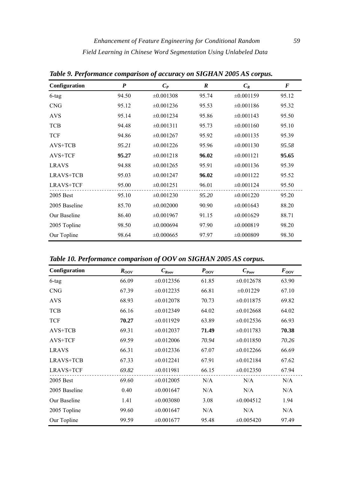| Configuration    | $\boldsymbol{P}$ | $C_P$          | $\boldsymbol{R}$ | $C_R$          | $\boldsymbol{F}$ |
|------------------|------------------|----------------|------------------|----------------|------------------|
| $6$ -tag         | 94.50            | $\pm 0.001308$ | 95.74            | $\pm 0.001159$ | 95.12            |
| <b>CNG</b>       | 95.12            | $\pm 0.001236$ | 95.53            | $\pm 0.001186$ | 95.32            |
| <b>AVS</b>       | 95.14            | $\pm 0.001234$ | 95.86            | $\pm 0.001143$ | 95.50            |
| <b>TCB</b>       | 94.48            | $\pm 0.001311$ | 95.73            | $\pm 0.001160$ | 95.10            |
| <b>TCF</b>       | 94.86            | $\pm 0.001267$ | 95.92            | $\pm 0.001135$ | 95.39            |
| $AVS+TCB$        | 95.21            | $\pm 0.001226$ | 95.96            | $\pm 0.001130$ | 95.58            |
| AVS+TCF          | 95.27            | $\pm 0.001218$ | 96.02            | $\pm 0.001121$ | 95.65            |
| <b>LRAVS</b>     | 94.88            | $\pm 0.001265$ | 95.91            | $\pm 0.001136$ | 95.39            |
| <b>LRAVS+TCB</b> | 95.03            | $\pm 0.001247$ | 96.02            | $\pm 0.001122$ | 95.52            |
| <b>LRAVS+TCF</b> | 95.00            | $\pm 0.001251$ | 96.01            | $\pm 0.001124$ | 95.50            |
| 2005 Best        | 95.10            | $\pm 0.001230$ | 95.20            | $\pm 0.001220$ | 95.20            |
| 2005 Baseline    | 85.70            | $\pm 0.002000$ | 90.90            | $\pm 0.001643$ | 88.20            |
| Our Baseline     | 86.40            | $\pm 0.001967$ | 91.15            | $\pm 0.001629$ | 88.71            |
| 2005 Topline     | 98.50            | $\pm 0.000694$ | 97.90            | $\pm 0.000819$ | 98.20            |
| Our Topline      | 98.64            | $\pm 0.000665$ | 97.97            | $\pm 0.000809$ | 98.30            |

*Table 9. Performance comparison of accuracy on SIGHAN 2005 AS corpus.* 

*Table 10. Performance comparison of OOV on SIGHAN 2005 AS corpus.* 

| Configuration    | $R_{OOV}$ | $C_{\mathit{Root}}$ | $P_{OOV}$ | $C_{\text{poov}}$ | $F_{OOV}$ |
|------------------|-----------|---------------------|-----------|-------------------|-----------|
| 6-tag            | 66.09     | $\pm 0.012356$      | 61.85     | $\pm 0.012678$    | 63.90     |
| <b>CNG</b>       | 67.39     | $\pm 0.012235$      | 66.81     | $\pm 0.01229$     | 67.10     |
| <b>AVS</b>       | 68.93     | $\pm 0.012078$      | 70.73     | $\pm 0.011875$    | 69.82     |
| <b>TCB</b>       | 66.16     | $\pm 0.012349$      | 64.02     | $\pm 0.012668$    | 64.02     |
| <b>TCF</b>       | 70.27     | $\pm 0.011929$      | 63.89     | $\pm 0.012536$    | 66.93     |
| $AVS+TCB$        | 69.31     | $\pm 0.012037$      | 71.49     | $\pm 0.011783$    | 70.38     |
| AVS+TCF          | 69.59     | $\pm 0.012006$      | 70.94     | $\pm 0.011850$    | 70.26     |
| <b>LRAVS</b>     | 66.31     | $\pm 0.012336$      | 67.07     | $\pm 0.012266$    | 66.69     |
| LRAVS+TCB        | 67.33     | $\pm 0.012241$      | 67.91     | $\pm 0.012184$    | 67.62     |
| <b>LRAVS+TCF</b> | 69.82     | $\pm 0.011981$      | 66.15     | $\pm 0.012350$    | 67.94     |
| 2005 Best        | 69.60     | $\pm 0.012005$      | N/A       | N/A               | N/A       |
| 2005 Baseline    | 0.40      | $\pm 0.001647$      | N/A       | N/A               | N/A       |
| Our Baseline     | 1.41      | $\pm 0.003080$      | 3.08      | $\pm 0.004512$    | 1.94      |
| 2005 Topline     | 99.60     | $\pm 0.001647$      | N/A       | N/A               | N/A       |
| Our Topline      | 99.59     | $\pm 0.001677$      | 95.48     | $\pm 0.005420$    | 97.49     |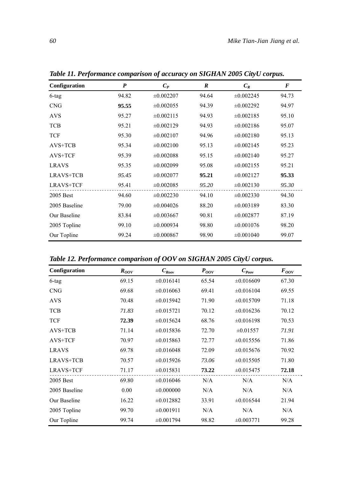| Configuration    | P     | $C_P$          | R     | $C_R$          | F     |
|------------------|-------|----------------|-------|----------------|-------|
| 6-tag            | 94.82 | $\pm 0.002207$ | 94.64 | $\pm 0.002245$ | 94.73 |
| <b>CNG</b>       | 95.55 | $\pm 0.002055$ | 94.39 | $\pm 0.002292$ | 94.97 |
| <b>AVS</b>       | 95.27 | $\pm 0.002115$ | 94.93 | $\pm 0.002185$ | 95.10 |
| <b>TCB</b>       | 95.21 | $\pm 0.002129$ | 94.93 | $\pm 0.002186$ | 95.07 |
| <b>TCF</b>       | 95.30 | $\pm 0.002107$ | 94.96 | $\pm 0.002180$ | 95.13 |
| $AVS+TCB$        | 95.34 | $\pm 0.002100$ | 95.13 | $\pm 0.002145$ | 95.23 |
| AVS+TCF          | 95.39 | $\pm 0.002088$ | 95.15 | $\pm 0.002140$ | 95.27 |
| <b>LRAVS</b>     | 95.35 | $\pm 0.002099$ | 95.08 | $\pm 0.002155$ | 95.21 |
| LRAVS+TCB        | 95.45 | $\pm 0.002077$ | 95.21 | $\pm 0.002127$ | 95.33 |
| <b>LRAVS+TCF</b> | 95.41 | $\pm 0.002085$ | 95.20 | $\pm 0.002130$ | 95.30 |
| 2005 Best        | 94.60 | $\pm 0.002230$ | 94.10 | $\pm 0.002330$ | 94.30 |
| 2005 Baseline    | 79.00 | $\pm 0.004026$ | 88.20 | $\pm 0.003189$ | 83.30 |
| Our Baseline     | 83.84 | $\pm 0.003667$ | 90.81 | $\pm 0.002877$ | 87.19 |
| 2005 Topline     | 99.10 | $\pm 0.000934$ | 98.80 | $\pm 0.001076$ | 98.20 |
| Our Topline      | 99.24 | $\pm 0.000867$ | 98.90 | $\pm 0.001040$ | 99.07 |

*Table 11. Performance comparison of accuracy on SIGHAN 2005 CityU corpus.* 

*Table 12. Performance comparison of OOV on SIGHAN 2005 CityU corpus.* 

| Configuration    | $R_{OOV}$ | $C_{\mathit{Root}}$ | $P_{OOV}$ | $C_{\text{Poov}}$ | $F_{OOV}$ |
|------------------|-----------|---------------------|-----------|-------------------|-----------|
| 6-tag            | 69.15     | $\pm 0.016141$      | 65.54     | $\pm 0.016609$    | 67.30     |
| <b>CNG</b>       | 69.68     | $\pm 0.016063$      | 69.41     | $\pm 0.016104$    | 69.55     |
| <b>AVS</b>       | 70.48     | $\pm 0.015942$      | 71.90     | $\pm 0.015709$    | 71.18     |
| <b>TCB</b>       | 71.83     | $\pm 0.015721$      | 70.12     | $\pm 0.016236$    | 70.12     |
| <b>TCF</b>       | 72.39     | $\pm 0.015624$      | 68.76     | $\pm 0.016198$    | 70.53     |
| $AVS+TCB$        | 71.14     | $\pm 0.015836$      | 72.70     | $\pm 0.01557$     | 71.91     |
| AVS+TCF          | 70.97     | $\pm 0.015863$      | 72.77     | $\pm 0.015556$    | 71.86     |
| <b>LRAVS</b>     | 69.78     | $\pm 0.016048$      | 72.09     | $\pm 0.015676$    | 70.92     |
| LRAVS+TCB        | 70.57     | $\pm 0.015926$      | 73.06     | $\pm 0.015505$    | 71.80     |
| <b>LRAVS+TCF</b> | 71.17     | $\pm 0.015831$      | 73.22     | $\pm 0.015475$    | 72.18     |
| 2005 Best        | 69.80     | $\pm 0.016046$      | N/A       | N/A               | N/A       |
| 2005 Baseline    | 0.00      | $\pm 0.000000$      | N/A       | N/A               | N/A       |
| Our Baseline     | 16.22     | $\pm 0.012882$      | 33.91     | $\pm 0.016544$    | 21.94     |
| 2005 Topline     | 99.70     | $\pm 0.001911$      | N/A       | N/A               | N/A       |
| Our Topline      | 99.74     | $\pm 0.001794$      | 98.82     | $\pm 0.003771$    | 99.28     |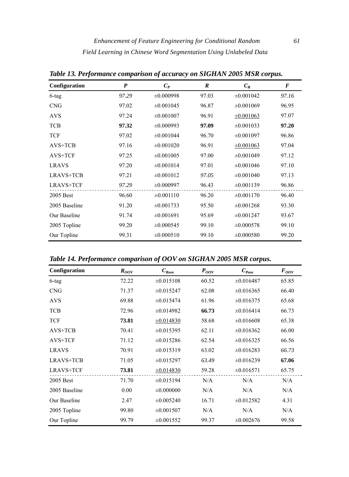| Configuration    | $\boldsymbol{P}$ | $C_P$          | $\boldsymbol{R}$ | $C_R$          | F     |
|------------------|------------------|----------------|------------------|----------------|-------|
| $6$ -tag         | 97.29            | $\pm 0.000998$ | 97.03            | $\pm 0.001042$ | 97.16 |
| <b>CNG</b>       | 97.02            | $\pm 0.001045$ | 96.87            | $\pm 0.001069$ | 96.95 |
| <b>AVS</b>       | 97.24            | $\pm 0.001007$ | 96.91            | $\pm 0.001063$ | 97.07 |
| <b>TCB</b>       | 97.32            | $\pm 0.000993$ | 97.09            | $\pm 0.001033$ | 97.20 |
| <b>TCF</b>       | 97.02            | $\pm 0.001044$ | 96.70            | $\pm 0.001097$ | 96.86 |
| AVS+TCB          | 97.16            | $\pm 0.001020$ | 96.91            | $\pm 0.001063$ | 97.04 |
| AVS+TCF          | 97.25            | $\pm 0.001005$ | 97.00            | $\pm 0.001049$ | 97.12 |
| <b>LRAVS</b>     | 97.20            | $\pm 0.001014$ | 97.01            | $\pm 0.001046$ | 97.10 |
| <b>LRAVS+TCB</b> | 97.21            | $\pm 0.001012$ | 97.05            | $\pm 0.001040$ | 97.13 |
| <b>LRAVS+TCF</b> | 97.29            | $\pm 0.000997$ | 96.43            | $\pm 0.001139$ | 96.86 |
| 2005 Best        | 96.60            | $\pm 0.001110$ | 96.20            | $\pm 0.001170$ | 96.40 |
| 2005 Baseline    | 91.20            | $\pm 0.001733$ | 95.50            | $\pm 0.001268$ | 93.30 |
| Our Baseline     | 91.74            | $\pm 0.001691$ | 95.69            | $\pm 0.001247$ | 93.67 |
| 2005 Topline     | 99.20            | $\pm 0.000545$ | 99.10            | $\pm 0.000578$ | 99.10 |
| Our Topline      | 99.31            | $\pm 0.000510$ | 99.10            | $\pm 0.000580$ | 99.20 |

*Table 13. Performance comparison of accuracy on SIGHAN 2005 MSR corpus.* 

*Table 14. Performance comparison of OOV on SIGHAN 2005 MSR corpus.* 

| Configuration    | $R_{OOV}$ | $C_{\mathit{Root}}$ | $P_{OOV}$ | $C_{\it{Poov}}$ | $F_{OOV}$ |
|------------------|-----------|---------------------|-----------|-----------------|-----------|
| $6$ -tag         | 72.22     | $\pm 0.015108$      | 60.52     | $\pm 0.016487$  | 65.85     |
| <b>CNG</b>       | 71.37     | $\pm 0.015247$      | 62.08     | $\pm 0.016365$  | 66.40     |
| <b>AVS</b>       | 69.88     | $\pm 0.015474$      | 61.96     | $\pm 0.016375$  | 65.68     |
| <b>TCB</b>       | 72.96     | $\pm 0.014982$      | 66.73     | $\pm 0.016414$  | 66.73     |
| <b>TCF</b>       | 73.81     | $\pm 0.014830$      | 58.68     | $\pm 0.016608$  | 65.38     |
| $AVS+TCB$        | 70.41     | $\pm 0.015395$      | 62.11     | $\pm 0.016362$  | 66.00     |
| AVS+TCF          | 71.12     | $\pm 0.015286$      | 62.54     | $\pm 0.016325$  | 66.56     |
| <b>LRAVS</b>     | 70.91     | $\pm 0.015319$      | 63.02     | $\pm 0.016283$  | 66.73     |
| LRAVS+TCB        | 71.05     | $\pm 0.015297$      | 63.49     | $\pm 0.016239$  | 67.06     |
| <b>LRAVS+TCF</b> | 73.81     | $\pm 0.014830$      | 59.28     | $\pm 0.016571$  | 65.75     |
| 2005 Best        | 71.70     | $\pm 0.015194$      | N/A       | N/A             | N/A       |
| 2005 Baseline    | 0.00      | $\pm 0.000000$      | N/A       | N/A             | N/A       |
| Our Baseline     | 2.47      | $\pm 0.005240$      | 16.71     | $\pm 0.012582$  | 4.31      |
| 2005 Topline     | 99.80     | $\pm 0.001507$      | N/A       | N/A             | N/A       |
| Our Topline      | 99.79     | $\pm 0.001552$      | 99.37     | $\pm 0.002676$  | 99.58     |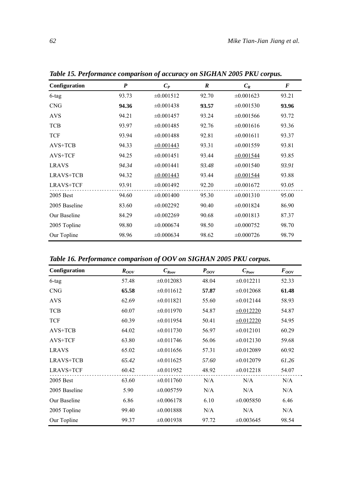| Configuration    | P     | $C_P$          | $\boldsymbol{R}$ | $C_R$          | $\bm{F}$ |
|------------------|-------|----------------|------------------|----------------|----------|
| 6-tag            | 93.73 | $\pm 0.001512$ | 92.70            | $\pm 0.001623$ | 93.21    |
| <b>CNG</b>       | 94.36 | $\pm 0.001438$ | 93.57            | $\pm 0.001530$ | 93.96    |
| <b>AVS</b>       | 94.21 | $\pm 0.001457$ | 93.24            | $\pm 0.001566$ | 93.72    |
| <b>TCB</b>       | 93.97 | $\pm 0.001485$ | 92.76            | $\pm 0.001616$ | 93.36    |
| <b>TCF</b>       | 93.94 | $\pm 0.001488$ | 92.81            | $\pm 0.001611$ | 93.37    |
| $AVS+TCB$        | 94.33 | $\pm 0.001443$ | 93.31            | $\pm 0.001559$ | 93.81    |
| AVS+TCF          | 94.25 | $\pm 0.001451$ | 93.44            | $\pm 0.001544$ | 93.85    |
| <b>LRAVS</b>     | 94.34 | $\pm 0.001441$ | 93.48            | $\pm 0.001540$ | 93.91    |
| LRAVS+TCB        | 94.32 | $\pm 0.001443$ | 93.44            | $\pm 0.001544$ | 93.88    |
| <b>LRAVS+TCF</b> | 93.91 | $\pm 0.001492$ | 92.20            | $\pm 0.001672$ | 93.05    |
| 2005 Best        | 94.60 | $\pm 0.001400$ | 95.30            | $\pm 0.001310$ | 95.00    |
| 2005 Baseline    | 83.60 | $\pm 0.002292$ | 90.40            | $\pm 0.001824$ | 86.90    |
| Our Baseline     | 84.29 | $\pm 0.002269$ | 90.68            | $\pm 0.001813$ | 87.37    |
| 2005 Topline     | 98.80 | $\pm 0.000674$ | 98.50            | $\pm 0.000752$ | 98.70    |
| Our Topline      | 98.96 | $\pm 0.000634$ | 98.62            | $\pm 0.000726$ | 98.79    |

*Table 15. Performance comparison of accuracy on SIGHAN 2005 PKU corpus.* 

*Table 16. Performance comparison of OOV on SIGHAN 2005 PKU corpus.* 

| Configuration    | $R_{OOV}$ | $C_{\mathit{Root}}$ | $P_{OOV}$ | $C_{\it{Poov}}$ | $F_{OOV}$ |
|------------------|-----------|---------------------|-----------|-----------------|-----------|
| 6-tag            | 57.48     | $\pm 0.012083$      | 48.04     | $\pm 0.012211$  | 52.33     |
| <b>CNG</b>       | 65.58     | $\pm 0.011612$      | 57.87     | $\pm 0.012068$  | 61.48     |
| <b>AVS</b>       | 62.69     | $\pm 0.011821$      | 55.60     | $\pm 0.012144$  | 58.93     |
| <b>TCB</b>       | 60.07     | $\pm 0.011970$      | 54.87     | $\pm 0.012220$  | 54.87     |
| <b>TCF</b>       | 60.39     | $\pm 0.011954$      | 50.41     | $\pm 0.012220$  | 54.95     |
| $AVS+TCB$        | 64.02     | $\pm 0.011730$      | 56.97     | $\pm 0.012101$  | 60.29     |
| AVS+TCF          | 63.80     | $\pm 0.011746$      | 56.06     | $\pm 0.012130$  | 59.68     |
| <b>LRAVS</b>     | 65.02     | $\pm 0.011656$      | 57.31     | $\pm 0.012089$  | 60.92     |
| LRAVS+TCB        | 65.42     | $\pm 0.011625$      | 57.60     | $\pm 0.012079$  | 61.26     |
| <b>LRAVS+TCF</b> | 60.42     | $\pm 0.011952$      | 48.92     | $\pm 0.012218$  | 54.07     |
| 2005 Best        | 63.60     | $\pm 0.011760$      | N/A       | N/A             | N/A       |
| 2005 Baseline    | 5.90      | $\pm 0.005759$      | N/A       | N/A             | N/A       |
| Our Baseline     | 6.86      | $\pm 0.006178$      | 6.10      | $\pm 0.005850$  | 6.46      |
| 2005 Topline     | 99.40     | $\pm 0.001888$      | N/A       | N/A             | N/A       |
| Our Topline      | 99.37     | $\pm 0.001938$      | 97.72     | $\pm 0.003645$  | 98.54     |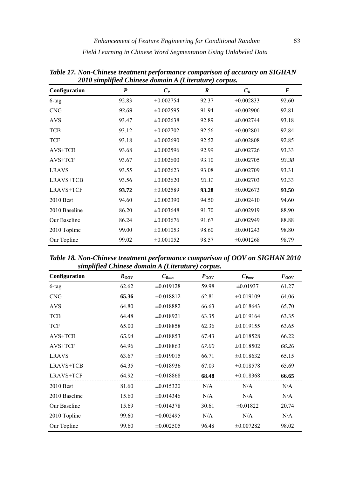| soro sempegeca<br>Configuration | $\boldsymbol{P}$ | Chanced aomain A (Lachana C) corpus.<br>$C_P$ | R     | $C_R$          | $\boldsymbol{F}$ |
|---------------------------------|------------------|-----------------------------------------------|-------|----------------|------------------|
| 6-tag                           | 92.83            | $\pm 0.002754$                                | 92.37 | $\pm 0.002833$ | 92.60            |
| <b>CNG</b>                      | 93.69            | $\pm 0.002595$                                | 91.94 | $\pm 0.002906$ | 92.81            |
| <b>AVS</b>                      | 93.47            | $\pm 0.002638$                                | 92.89 | $\pm 0.002744$ | 93.18            |
| <b>TCB</b>                      | 93.12            | $\pm 0.002702$                                | 92.56 | $\pm 0.002801$ | 92.84            |
| <b>TCF</b>                      | 93.18            | $\pm 0.002690$                                | 92.52 | $\pm 0.002808$ | 92.85            |
| $AVS+TCB$                       | 93.68            | $\pm 0.002596$                                | 92.99 | $\pm 0.002726$ | 93.33            |
| AVS+TCF                         | 93.67            | $\pm 0.002600$                                | 93.10 | $\pm 0.002705$ | 93.38            |
| <b>LRAVS</b>                    | 93.55            | $\pm 0.002623$                                | 93.08 | $\pm 0.002709$ | 93.31            |
| LRAVS+TCB                       | 93.56            | $\pm 0.002620$                                | 93.11 | $\pm 0.002703$ | 93.33            |
| <b>LRAVS+TCF</b>                | 93.72            | $\pm 0.002589$                                | 93.28 | $\pm 0.002673$ | 93.50            |
| 2010 Best                       | 94.60            | $\pm 0.002390$                                | 94.50 | $\pm 0.002410$ | 94.60            |
| 2010 Baseline                   | 86.20            | $\pm 0.003648$                                | 91.70 | $\pm 0.002919$ | 88.90            |
| Our Baseline                    | 86.24            | $\pm 0.003676$                                | 91.67 | $\pm 0.002949$ | 88.88            |
| 2010 Topline                    | 99.00            | $\pm 0.001053$                                | 98.60 | $\pm 0.001243$ | 98.80            |
| Our Topline                     | 99.02            | $\pm 0.001052$                                | 98.57 | $\pm 0.001268$ | 98.79            |

*Table 17. Non-Chinese treatment performance comparison of accuracy on SIGHAN 2010 simplified Chinese domain A (Literature) corpus.* 

*Table 18. Non-Chinese treatment performance comparison of OOV on SIGHAN 2010 simplified Chinese domain A (Literature) corpus.* 

| $_{\rm{query}}$  |           |                     |           |                 |           |  |  |  |
|------------------|-----------|---------------------|-----------|-----------------|-----------|--|--|--|
| Configuration    | $R_{OOV}$ | $C_{\mathit{Root}}$ | $P_{OOV}$ | $C_{\it{Poov}}$ | $F_{OOV}$ |  |  |  |
| 6-tag            | 62.62     | $\pm 0.019128$      | 59.98     | $\pm 0.01937$   | 61.27     |  |  |  |
| <b>CNG</b>       | 65.36     | $\pm 0.018812$      | 62.81     | $\pm 0.019109$  | 64.06     |  |  |  |
| <b>AVS</b>       | 64.80     | $\pm 0.018882$      | 66.63     | $\pm 0.018643$  | 65.70     |  |  |  |
| <b>TCB</b>       | 64.48     | $\pm 0.018921$      | 63.35     | $\pm 0.019164$  | 63.35     |  |  |  |
| <b>TCF</b>       | 65.00     | $\pm 0.018858$      | 62.36     | $\pm 0.019155$  | 63.65     |  |  |  |
| AVS+TCB          | 65.04     | $\pm 0.018853$      | 67.43     | $\pm 0.018528$  | 66.22     |  |  |  |
| AVS+TCF          | 64.96     | $\pm 0.018863$      | 67.60     | $\pm 0.018502$  | 66.26     |  |  |  |
| <b>LRAVS</b>     | 63.67     | $\pm 0.019015$      | 66.71     | $\pm 0.018632$  | 65.15     |  |  |  |
| LRAVS+TCB        | 64.35     | $\pm 0.018936$      | 67.09     | $\pm 0.018578$  | 65.69     |  |  |  |
| <b>LRAVS+TCF</b> | 64.92     | $\pm 0.018868$      | 68.48     | $\pm 0.018368$  | 66.65     |  |  |  |
| $2010$ Best      | 81.60     | $\pm 0.015320$      | N/A       | N/A             | N/A       |  |  |  |
| 2010 Baseline    | 15.60     | $\pm 0.014346$      | N/A       | N/A             | N/A       |  |  |  |
| Our Baseline     | 15.69     | $\pm 0.014378$      | 30.61     | $\pm 0.01822$   | 20.74     |  |  |  |
| 2010 Topline     | 99.60     | $\pm 0.002495$      | N/A       | N/A             | N/A       |  |  |  |
| Our Topline      | 99.60     | $\pm 0.002505$      | 96.48     | $\pm 0.007282$  | 98.02     |  |  |  |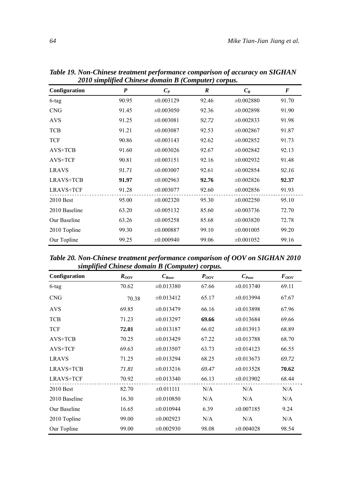| Configuration    | $\boldsymbol{P}$ | $C_P$          | $\boldsymbol{R}$ | $C_R$          | F     |
|------------------|------------------|----------------|------------------|----------------|-------|
| 6-tag            | 90.95            | $\pm 0.003129$ | 92.46            | $\pm 0.002880$ | 91.70 |
| <b>CNG</b>       | 91.45            | $\pm 0.003050$ | 92.36            | $\pm 0.002898$ | 91.90 |
| <b>AVS</b>       | 91.25            | $\pm 0.003081$ | 92.72            | $\pm 0.002833$ | 91.98 |
| <b>TCB</b>       | 91.21            | $\pm 0.003087$ | 92.53            | $\pm 0.002867$ | 91.87 |
| <b>TCF</b>       | 90.86            | $\pm 0.003143$ | 92.62            | $\pm 0.002852$ | 91.73 |
| AVS+TCB          | 91.60            | $\pm 0.003026$ | 92.67            | $\pm 0.002842$ | 92.13 |
| AVS+TCF          | 90.81            | $\pm 0.003151$ | 92.16            | $\pm 0.002932$ | 91.48 |
| <b>LRAVS</b>     | 91.71            | $\pm 0.003007$ | 92.61            | $\pm 0.002854$ | 92.16 |
| <b>LRAVS+TCB</b> | 91.97            | $\pm 0.002963$ | 92.76            | $\pm 0.002826$ | 92.37 |
| <b>LRAVS+TCF</b> | 91.28            | $\pm 0.003077$ | 92.60            | $\pm 0.002856$ | 91.93 |
| $2010$ Best      | 95.00            | $\pm 0.002320$ | 95.30            | $\pm 0.002250$ | 95.10 |
| 2010 Baseline    | 63.20            | $\pm 0.005132$ | 85.60            | $\pm 0.003736$ | 72.70 |
| Our Baseline     | 63.26            | $\pm 0.005258$ | 85.68            | $\pm 0.003820$ | 72.78 |
| 2010 Topline     | 99.30            | $\pm 0.000887$ | 99.10            | $\pm 0.001005$ | 99.20 |
| Our Topline      | 99.25            | $\pm 0.000940$ | 99.06            | $\pm 0.001052$ | 99.16 |

*Table 19. Non-Chinese treatment performance comparison of accuracy on SIGHAN 2010 simplified Chinese domain B (Computer) corpus.* 

*Table 20. Non-Chinese treatment performance comparison of OOV on SIGHAN 2010 simplified Chinese domain B (Computer) corpus.* 

| Configuration    | $R_{OOV}$ | $C_{\text{Row}}$ | $P_{OOV}$ | $C_{\text{Poov}}$ | $F_{OOV}$ |
|------------------|-----------|------------------|-----------|-------------------|-----------|
| 6-tag            | 70.62     | $\pm 0.013380$   | 67.66     | $\pm 0.013740$    | 69.11     |
| <b>CNG</b>       | 70.38     | $\pm 0.013412$   | 65.17     | $\pm 0.013994$    | 67.67     |
| <b>AVS</b>       | 69.85     | $\pm 0.013479$   | 66.16     | $\pm 0.013898$    | 67.96     |
| <b>TCB</b>       | 71.23     | $\pm 0.013297$   | 69.66     | $\pm 0.013684$    | 69.66     |
| <b>TCF</b>       | 72.01     | $\pm 0.013187$   | 66.02     | $\pm 0.013913$    | 68.89     |
| AVS+TCB          | 70.25     | $\pm 0.013429$   | 67.22     | $\pm 0.013788$    | 68.70     |
| AVS+TCF          | 69.63     | $\pm 0.013507$   | 63.73     | $\pm 0.014123$    | 66.55     |
| <b>LRAVS</b>     | 71.25     | $\pm 0.013294$   | 68.25     | $\pm 0.013673$    | 69.72     |
| LRAVS+TCB        | 71.81     | $\pm 0.013216$   | 69.47     | $\pm 0.013528$    | 70.62     |
| <b>LRAVS+TCF</b> | 70.92     | $\pm 0.013340$   | 66.13     | $\pm 0.013902$    | 68.44     |
| 2010 Best        | 82.70     | $\pm 0.011111$   | N/A       | N/A               | N/A       |
| 2010 Baseline    | 16.30     | $\pm 0.010850$   | N/A       | N/A               | N/A       |
| Our Baseline     | 16.65     | $\pm 0.010944$   | 6.39      | $\pm 0.007185$    | 9.24      |
| 2010 Topline     | 99.00     | $\pm 0.002923$   | N/A       | N/A               | N/A       |
| Our Topline      | 99.00     | $\pm 0.002930$   | 98.08     | $\pm 0.004028$    | 98.54     |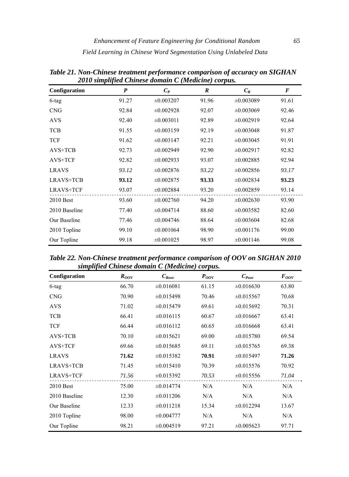| Configuration | P     | $C_P$          | $\boldsymbol{R}$ | $C_R$          | $\boldsymbol{F}$ |
|---------------|-------|----------------|------------------|----------------|------------------|
| $6$ -tag      | 91.27 | $\pm 0.003207$ | 91.96            | $\pm 0.003089$ | 91.61            |
| <b>CNG</b>    | 92.84 | $\pm 0.002928$ | 92.07            | $\pm 0.003069$ | 92.46            |
| <b>AVS</b>    | 92.40 | $\pm 0.003011$ | 92.89            | $\pm 0.002919$ | 92.64            |
| <b>TCB</b>    | 91.55 | $\pm 0.003159$ | 92.19            | $\pm 0.003048$ | 91.87            |
| <b>TCF</b>    | 91.62 | $\pm 0.003147$ | 92.21            | $\pm 0.003045$ | 91.91            |
| AVS+TCB       | 92.73 | $\pm 0.002949$ | 92.90            | $\pm 0.002917$ | 92.82            |
| AVS+TCF       | 92.82 | $\pm 0.002933$ | 93.07            | $\pm 0.002885$ | 92.94            |
| <b>LRAVS</b>  | 93.12 | $\pm 0.002876$ | 93.22            | $\pm 0.002856$ | 93.17            |
| LRAVS+TCB     | 93.12 | $\pm 0.002875$ | 93.33            | $\pm 0.002834$ | 93.23            |
| LRAVS+TCF     | 93.07 | $\pm 0.002884$ | 93.20            | $\pm 0.002859$ | 93.14            |
| $2010$ Best   | 93.60 | $\pm 0.002760$ | 94.20            | $\pm 0.002630$ | 93.90            |
| 2010 Baseline | 77.40 | $\pm 0.004714$ | 88.60            | $\pm 0.003582$ | 82.60            |
| Our Baseline  | 77.46 | $\pm 0.004746$ | 88.64            | $\pm 0.003604$ | 82.68            |
| 2010 Topline  | 99.10 | $\pm 0.001064$ | 98.90            | $\pm 0.001176$ | 99.00            |
| Our Topline   | 99.18 | $\pm 0.001025$ | 98.97            | $\pm 0.001146$ | 99.08            |

*Table 21. Non-Chinese treatment performance comparison of accuracy on SIGHAN 2010 simplified Chinese domain C (Medicine) corpus.* 

*Table 22. Non-Chinese treatment performance comparison of OOV on SIGHAN 2010 simplified Chinese domain C (Medicine) corpus.* 

| $_{\rm{query}}$  |           |                |           |                 |           |  |  |  |
|------------------|-----------|----------------|-----------|-----------------|-----------|--|--|--|
| Configuration    | $R_{OOV}$ | $C_{Row}$      | $P_{OOV}$ | $C_{\it{Poov}}$ | $F_{OOV}$ |  |  |  |
| 6-tag            | 66.70     | $\pm 0.016081$ | 61.15     | $\pm 0.016630$  | 63.80     |  |  |  |
| <b>CNG</b>       | 70.90     | $\pm 0.015498$ | 70.46     | $\pm 0.015567$  | 70.68     |  |  |  |
| <b>AVS</b>       | 71.02     | $\pm 0.015479$ | 69.61     | $\pm 0.015692$  | 70.31     |  |  |  |
| <b>TCB</b>       | 66.41     | $\pm 0.016115$ | 60.67     | $\pm 0.016667$  | 63.41     |  |  |  |
| <b>TCF</b>       | 66.44     | $\pm 0.016112$ | 60.65     | $\pm 0.016668$  | 63.41     |  |  |  |
| AVS+TCB          | 70.10     | $\pm 0.015621$ | 69.00     | $\pm 0.015780$  | 69.54     |  |  |  |
| AVS+TCF          | 69.66     | $\pm 0.015685$ | 69.11     | $\pm 0.015765$  | 69.38     |  |  |  |
| <b>LRAVS</b>     | 71.62     | $\pm 0.015382$ | 70.91     | $\pm 0.015497$  | 71.26     |  |  |  |
| LRAVS+TCB        | 71.45     | $\pm 0.015410$ | 70.39     | $\pm 0.015576$  | 70.92     |  |  |  |
| <b>LRAVS+TCF</b> | 71.56     | $\pm 0.015392$ | 70.53     | $\pm 0.015556$  | 71.04     |  |  |  |
| $2010$ Best      | 75.00     | $\pm 0.014774$ | N/A       | N/A             | N/A       |  |  |  |
| 2010 Baseline    | 12.30     | $\pm 0.011206$ | N/A       | N/A             | N/A       |  |  |  |
| Our Baseline     | 12.33     | $\pm 0.011218$ | 15.34     | $\pm 0.012294$  | 13.67     |  |  |  |
| 2010 Topline     | 98.00     | $\pm 0.004777$ | N/A       | N/A             | N/A       |  |  |  |
| Our Topline      | 98.21     | $\pm 0.004519$ | 97.21     | $\pm 0.005623$  | 97.71     |  |  |  |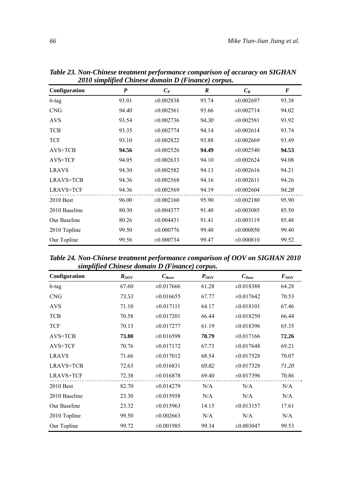| Configuration    | $\boldsymbol{P}$ | $C_P$          | $\boldsymbol{R}$ | $C_R$          | F     |
|------------------|------------------|----------------|------------------|----------------|-------|
| $6$ -tag         | 93.01            | $\pm 0.002838$ | 93.74            | $\pm 0.002697$ | 93.38 |
| <b>CNG</b>       | 94.40            | $\pm 0.002561$ | 93.66            | $\pm 0.002714$ | 94.02 |
| <b>AVS</b>       | 93.54            | $\pm 0.002736$ | 94.30            | $\pm 0.002581$ | 93.92 |
| <b>TCB</b>       | 93.35            | $\pm 0.002774$ | 94.14            | $\pm 0.002614$ | 93.74 |
| <b>TCF</b>       | 93.10            | $\pm 0.002822$ | 93.88            | $\pm 0.002669$ | 93.49 |
| $AVS+TCB$        | 94.56            | $\pm 0.002526$ | 94.49            | $\pm 0.002540$ | 94.53 |
| AVS+TCF          | 94.05            | $\pm 0.002633$ | 94.10            | $\pm 0.002624$ | 94.08 |
| <b>LRAVS</b>     | 94.30            | $\pm 0.002582$ | 94.13            | $\pm 0.002616$ | 94.21 |
| <b>LRAVS+TCB</b> | 94.36            | $\pm 0.002568$ | 94.16            | $\pm 0.002611$ | 94.26 |
| <b>LRAVS+TCF</b> | 94.36            | $\pm 0.002569$ | 94.19            | $\pm 0.002604$ | 94.28 |
| $2010$ Best      | 96.00            | $\pm 0.002160$ | 95.90            | $\pm 0.002180$ | 95.90 |
| 2010 Baseline    | 80.30            | $\pm 0.004377$ | 91.40            | $\pm 0.003085$ | 85.50 |
| Our Baseline     | 80.26            | $\pm 0.004431$ | 91.41            | $\pm 0.003119$ | 85.48 |
| 2010 Topline     | 99.50            | $\pm 0.000776$ | 99.40            | $\pm 0.000850$ | 99.40 |
| Our Topline      | 99.56            | $\pm 0.000734$ | 99.47            | $\pm 0.000810$ | 99.52 |

*Table 23. Non-Chinese treatment performance comparison of accuracy on SIGHAN 2010 simplified Chinese domain D (Finance) corpus.* 

*Table 24. Non-Chinese treatment performance comparison of OOV on SIGHAN 2010 simplified Chinese domain D (Finance) corpus.* 

| Configuration    | $R_{OOV}$ | $C_{Row}$      | $P_{OOV}$ | $C_{\mathit{Poov}}$ | $F_{OOV}$ |
|------------------|-----------|----------------|-----------|---------------------|-----------|
| $6$ -tag         | 67.60     | $\pm 0.017666$ | 61.28     | $\pm 0.018388$      | 64.28     |
| <b>CNG</b>       | 73.53     | $\pm 0.016655$ | 67.77     | $\pm 0.017642$      | 70.53     |
| <b>AVS</b>       | 71.10     | $\pm 0.017111$ | 64.17     | $\pm 0.018101$      | 67.46     |
| <b>TCB</b>       | 70.58     | $\pm 0.017201$ | 66.44     | $\pm 0.018250$      | 66.44     |
| <b>TCF</b>       | 70.13     | $\pm 0.017277$ | 61.19     | $\pm 0.018396$      | 65.35     |
| AVS+TCB          | 73.80     | $\pm 0.016598$ | 70.79     | $\pm 0.017166$      | 72.26     |
| AVS+TCF          | 70.76     | $\pm 0.017172$ | 67.73     | $\pm 0.017648$      | 69.21     |
| <b>LRAVS</b>     | 71.66     | $\pm 0.017012$ | 68.54     | $\pm 0.017528$      | 70.07     |
| LRAVS+TCB        | 72.63     | $\pm 0.016831$ | 69.82     | $\pm 0.017328$      | 71.20     |
| <b>LRAVS+TCF</b> | 72.38     | $\pm 0.016878$ | 69.40     | $\pm 0.017396$      | 70.86     |
| $2010$ Best      | 82.70     | $\pm 0.014279$ | N/A       | N/A                 | N/A       |
| 2010 Baseline    | 23.30     | $\pm 0.015958$ | N/A       | N/A                 | N/A       |
| Our Baseline     | 23.32     | $\pm 0.015963$ | 14.15     | $\pm 0.013157$      | 17.61     |
| 2010 Topline     | 99.50     | $\pm 0.002663$ | N/A       | N/A                 | N/A       |
| Our Topline      | 99.72     | $\pm 0.001985$ | 99.34     | $\pm 0.003047$      | 99.53     |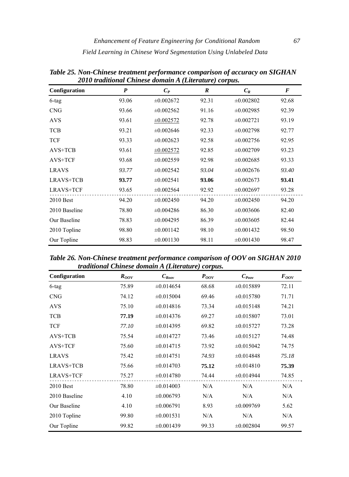| Configuration    | P     | 2010 maanonan Chimisto aomaini 11 (Lineranin'i Corpus.<br>$C_P$ | $\boldsymbol{R}$ | $C_R$          | $\boldsymbol{F}$ |
|------------------|-------|-----------------------------------------------------------------|------------------|----------------|------------------|
| 6-tag            | 93.06 | $\pm 0.002672$                                                  | 92.31            | $\pm 0.002802$ | 92.68            |
| <b>CNG</b>       | 93.66 | $\pm 0.002562$                                                  | 91.16            | $\pm 0.002985$ | 92.39            |
| <b>AVS</b>       | 93.61 | $\pm 0.002572$                                                  | 92.78            | $\pm 0.002721$ | 93.19            |
| <b>TCB</b>       | 93.21 | $\pm 0.002646$                                                  | 92.33            | $\pm 0.002798$ | 92.77            |
| <b>TCF</b>       | 93.33 | $\pm 0.002623$                                                  | 92.58            | $\pm 0.002756$ | 92.95            |
| $AVS+TCB$        | 93.61 | $\pm 0.002572$                                                  | 92.85            | $\pm 0.002709$ | 93.23            |
| AVS+TCF          | 93.68 | $\pm 0.002559$                                                  | 92.98            | $\pm 0.002685$ | 93.33            |
| <b>LRAVS</b>     | 93.77 | $\pm 0.002542$                                                  | 93.04            | $\pm 0.002676$ | 93.40            |
| LRAVS+TCB        | 93.77 | $\pm 0.002541$                                                  | 93.06            | $\pm 0.002673$ | 93.41            |
| <b>LRAVS+TCF</b> | 93.65 | $\pm 0.002564$                                                  | 92.92            | $\pm 0.002697$ | 93.28            |
| 2010 Best        | 94.20 | $\pm 0.002450$                                                  | 94.20            | $\pm 0.002450$ | 94.20            |
| 2010 Baseline    | 78.80 | $\pm 0.004286$                                                  | 86.30            | $\pm 0.003606$ | 82.40            |
| Our Baseline     | 78.83 | $\pm 0.004295$                                                  | 86.39            | $\pm 0.003605$ | 82.44            |
| 2010 Topline     | 98.80 | $\pm 0.001142$                                                  | 98.10            | $\pm 0.001432$ | 98.50            |
| Our Topline      | 98.83 | $\pm 0.001130$                                                  | 98.11            | $\pm 0.001430$ | 98.47            |

*Table 25. Non-Chinese treatment performance comparison of accuracy on SIGHAN 2010 traditional Chinese domain A (Literature) corpus.* 

*Table 26. Non-Chinese treatment performance comparison of OOV on SIGHAN 2010 traditional Chinese domain A (Literature) corpus.* 

| Configuration    | $R_{OOV}$ | $C_{\mathit{Root}}$ | $P_{OOV}$ | $C_{\mathit{Poov}}$ | $F_{OOV}$ |
|------------------|-----------|---------------------|-----------|---------------------|-----------|
| 6-tag            | 75.89     | $\pm 0.014654$      | 68.68     | $\pm 0.015889$      | 72.11     |
| <b>CNG</b>       | 74.12     | $\pm 0.015004$      | 69.46     | $\pm 0.015780$      | 71.71     |
| <b>AVS</b>       | 75.10     | $\pm 0.014816$      | 73.34     | $\pm 0.015148$      | 74.21     |
| <b>TCB</b>       | 77.19     | $\pm 0.014376$      | 69.27     | $\pm 0.015807$      | 73.01     |
| <b>TCF</b>       | 77.10     | $\pm 0.014395$      | 69.82     | $\pm 0.015727$      | 73.28     |
| AVS+TCB          | 75.54     | $\pm 0.014727$      | 73.46     | $\pm 0.015127$      | 74.48     |
| AVS+TCF          | 75.60     | $\pm 0.014715$      | 73.92     | $\pm 0.015042$      | 74.75     |
| <b>LRAVS</b>     | 75.42     | $\pm 0.014751$      | 74.93     | $\pm 0.014848$      | 75.18     |
| LRAVS+TCB        | 75.66     | $\pm 0.014703$      | 75.12     | $\pm 0.014810$      | 75.39     |
| <b>LRAVS+TCF</b> | 75.27     | $\pm 0.014780$      | 74.44     | $\pm 0.014944$      | 74.85     |
| $2010$ Best      | 78.80     | $\pm 0.014003$      | N/A       | N/A                 | N/A       |
| 2010 Baseline    | 4.10      | $\pm 0.006793$      | N/A       | N/A                 | N/A       |
| Our Baseline     | 4.10      | $\pm 0.006791$      | 8.93      | $\pm 0.009769$      | 5.62      |
| 2010 Topline     | 99.80     | $\pm 0.001531$      | N/A       | N/A                 | N/A       |
| Our Topline      | 99.82     | $\pm 0.001439$      | 99.33     | $\pm 0.002804$      | 99.57     |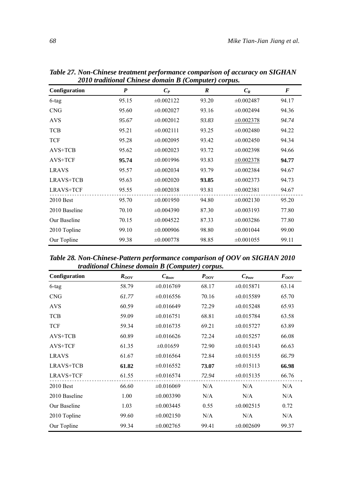| Configuration    | $\boldsymbol{P}$ | $C_P$          | $\boldsymbol{R}$ | $C_R$          | $\boldsymbol{F}$ |
|------------------|------------------|----------------|------------------|----------------|------------------|
| $6$ -tag         | 95.15            | $\pm 0.002122$ | 93.20            | $\pm 0.002487$ | 94.17            |
| <b>CNG</b>       | 95.60            | $\pm 0.002027$ | 93.16            | $\pm 0.002494$ | 94.36            |
| <b>AVS</b>       | 95.67            | $\pm 0.002012$ | 93.83            | $\pm 0.002378$ | 94.74            |
| <b>TCB</b>       | 95.21            | $\pm 0.002111$ | 93.25            | $\pm 0.002480$ | 94.22            |
| <b>TCF</b>       | 95.28            | $\pm 0.002095$ | 93.42            | $\pm 0.002450$ | 94.34            |
| $AVS+TCB$        | 95.62            | $\pm 0.002023$ | 93.72            | $\pm 0.002398$ | 94.66            |
| AVS+TCF          | 95.74            | $\pm 0.001996$ | 93.83            | $\pm 0.002378$ | 94.77            |
| <b>LRAVS</b>     | 95.57            | $\pm 0.002034$ | 93.79            | $\pm 0.002384$ | 94.67            |
| LRAVS+TCB        | 95.63            | $\pm 0.002020$ | 93.85            | $\pm 0.002373$ | 94.73            |
| <b>LRAVS+TCF</b> | 95.55            | $\pm 0.002038$ | 93.81            | $\pm 0.002381$ | 94.67            |
| $2010$ Best      | 95.70            | $\pm 0.001950$ | 94.80            | $\pm 0.002130$ | 95.20            |
| 2010 Baseline    | 70.10            | $\pm 0.004390$ | 87.30            | $\pm 0.003193$ | 77.80            |
| Our Baseline     | 70.15            | $\pm 0.004522$ | 87.33            | $\pm 0.003286$ | 77.80            |
| 2010 Topline     | 99.10            | $\pm 0.000906$ | 98.80            | $\pm 0.001044$ | 99.00            |
| Our Topline      | 99.38            | $\pm 0.000778$ | 98.85            | $\pm 0.001055$ | 99.11            |

*Table 27. Non-Chinese treatment performance comparison of accuracy on SIGHAN 2010 traditional Chinese domain B (Computer) corpus.* 

*Table 28. Non-Chinese-Pattern performance comparison of OOV on SIGHAN 2010 traditional Chinese domain B (Computer) corpus.* 

| Configuration    | $R_{OOV}$ | $C_{Row}$      | $P_{OOV}$ | $C_{\text{Poov}}$ | $F_{OOV}$ |
|------------------|-----------|----------------|-----------|-------------------|-----------|
| 6-tag            | 58.79     | $\pm 0.016769$ | 68.17     | $\pm 0.015871$    | 63.14     |
| <b>CNG</b>       | 61.77     | $\pm 0.016556$ | 70.16     | $\pm 0.015589$    | 65.70     |
| <b>AVS</b>       | 60.59     | $\pm 0.016649$ | 72.29     | $\pm 0.015248$    | 65.93     |
| <b>TCB</b>       | 59.09     | $\pm 0.016751$ | 68.81     | $\pm 0.015784$    | 63.58     |
| <b>TCF</b>       | 59.34     | $\pm 0.016735$ | 69.21     | $\pm 0.015727$    | 63.89     |
| $AVS+TCB$        | 60.89     | $\pm 0.016626$ | 72.24     | $\pm 0.015257$    | 66.08     |
| AVS+TCF          | 61.35     | $\pm 0.01659$  | 72.90     | $\pm 0.015143$    | 66.63     |
| <b>LRAVS</b>     | 61.67     | $\pm 0.016564$ | 72.84     | $\pm 0.015155$    | 66.79     |
| LRAVS+TCB        | 61.82     | $\pm 0.016552$ | 73.07     | $\pm 0.015113$    | 66.98     |
| <b>LRAVS+TCF</b> | 61.55     | $\pm 0.016574$ | 72.94     | $\pm 0.015135$    | 66.76     |
| $2010$ Best      | 66.60     | $\pm 0.016069$ | N/A       | N/A               | N/A       |
| 2010 Baseline    | 1.00      | $\pm 0.003390$ | N/A       | N/A               | N/A       |
| Our Baseline     | 1.03      | $\pm 0.003445$ | 0.55      | $\pm 0.002515$    | 0.72      |
| 2010 Topline     | 99.60     | $\pm 0.002150$ | N/A       | N/A               | N/A       |
| Our Topline      | 99.34     | $\pm 0.002765$ | 99.41     | $\pm 0.002609$    | 99.37     |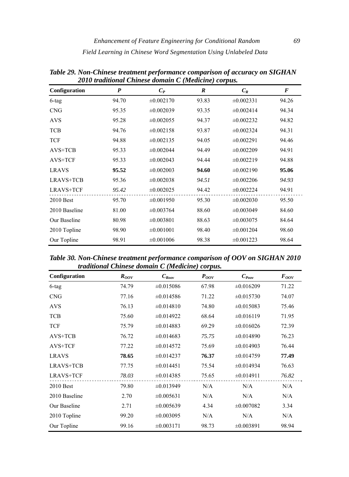| Configuration | $\boldsymbol{P}$ | 2010 maanonal Chinese aomain C (mealchie) corpus.<br>$C_P$ | R     | $C_R$          | $\boldsymbol{F}$ |
|---------------|------------------|------------------------------------------------------------|-------|----------------|------------------|
| $6$ -tag      | 94.70            | $\pm 0.002170$                                             | 93.83 | $\pm 0.002331$ | 94.26            |
| <b>CNG</b>    | 95.35            | $\pm 0.002039$                                             | 93.35 | $\pm 0.002414$ | 94.34            |
| <b>AVS</b>    | 95.28            | $\pm 0.002055$                                             | 94.37 | $\pm 0.002232$ | 94.82            |
| <b>TCB</b>    | 94.76            | $\pm 0.002158$                                             | 93.87 | $\pm 0.002324$ | 94.31            |
| <b>TCF</b>    | 94.88            | $\pm 0.002135$                                             | 94.05 | $\pm 0.002291$ | 94.46            |
| AVS+TCB       | 95.33            | $\pm 0.002044$                                             | 94.49 | $\pm 0.002209$ | 94.91            |
| AVS+TCF       | 95.33            | $\pm 0.002043$                                             | 94.44 | $\pm 0.002219$ | 94.88            |
| <b>LRAVS</b>  | 95.52            | $\pm 0.002003$                                             | 94.60 | $\pm 0.002190$ | 95.06            |
| LRAVS+TCB     | 95.36            | $\pm 0.002038$                                             | 94.51 | $\pm 0.002206$ | 94.93            |
| LRAVS+TCF     | 95.42            | $\pm 0.002025$                                             | 94.42 | $\pm 0.002224$ | 94.91            |
| $2010$ Best   | 95.70            | $\pm 0.001950$                                             | 95.30 | $\pm 0.002030$ | 95.50            |
| 2010 Baseline | 81.00            | $\pm 0.003764$                                             | 88.60 | $\pm 0.003049$ | 84.60            |
| Our Baseline  | 80.98            | $\pm 0.003801$                                             | 88.63 | $\pm 0.003075$ | 84.64            |
| 2010 Topline  | 98.90            | $\pm 0.001001$                                             | 98.40 | $\pm 0.001204$ | 98.60            |
| Our Topline   | 98.91            | $\pm 0.001006$                                             | 98.38 | $\pm 0.001223$ | 98.64            |

*Table 29. Non-Chinese treatment performance comparison of accuracy on SIGHAN 2010 traditional Chinese domain C (Medicine) corpus.* 

*Table 30. Non-Chinese treatment performance comparison of OOV on SIGHAN 2010 traditional Chinese domain C (Medicine) corpus.* 

| Configuration    | $R_{OOV}$ | $C_{\text{Row}}$ | $P_{OOV}$ | $C_{\text{Poov}}$ | $F_{OOV}$ |
|------------------|-----------|------------------|-----------|-------------------|-----------|
| 6-tag            | 74.79     | $\pm 0.015086$   | 67.98     | $\pm 0.016209$    | 71.22     |
| <b>CNG</b>       | 77.16     | $\pm 0.014586$   | 71.22     | $\pm 0.015730$    | 74.07     |
| <b>AVS</b>       | 76.13     | $\pm 0.014810$   | 74.80     | $\pm 0.015083$    | 75.46     |
| <b>TCB</b>       | 75.60     | $\pm 0.014922$   | 68.64     | $\pm 0.016119$    | 71.95     |
| <b>TCF</b>       | 75.79     | $\pm 0.014883$   | 69.29     | $\pm 0.016026$    | 72.39     |
| $AVS+TCB$        | 76.72     | $\pm 0.014683$   | 75.75     | $\pm 0.014890$    | 76.23     |
| AVS+TCF          | 77.22     | $\pm 0.014572$   | 75.69     | $\pm 0.014903$    | 76.44     |
| <b>LRAVS</b>     | 78.65     | $\pm 0.014237$   | 76.37     | $\pm 0.014759$    | 77.49     |
| LRAVS+TCB        | 77.75     | $\pm 0.014451$   | 75.54     | $\pm 0.014934$    | 76.63     |
| <b>LRAVS+TCF</b> | 78.03     | $\pm 0.014385$   | 75.65     | $\pm 0.014911$    | 76.82     |
| $2010$ Best      | 79.80     | $\pm 0.013949$   | N/A       | N/A               | N/A       |
| 2010 Baseline    | 2.70      | $\pm 0.005631$   | N/A       | N/A               | N/A       |
| Our Baseline     | 2.71      | $\pm 0.005639$   | 4.34      | $\pm 0.007082$    | 3.34      |
| 2010 Topline     | 99.20     | $\pm 0.003095$   | N/A       | N/A               | N/A       |
| Our Topline      | 99.16     | $\pm 0.003171$   | 98.73     | $\pm 0.003891$    | 98.94     |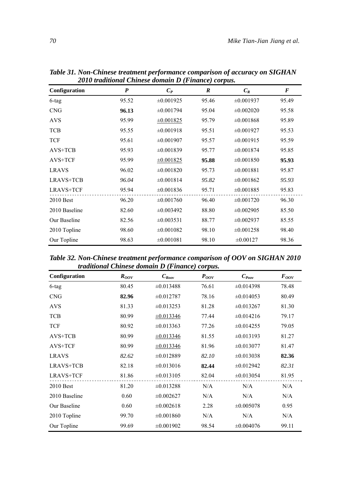| Configuration    | $\boldsymbol{P}$ | $C_P$          | $\boldsymbol{R}$ | $C_R$          | $\boldsymbol{F}$ |
|------------------|------------------|----------------|------------------|----------------|------------------|
| 6-tag            | 95.52            | $\pm 0.001925$ | 95.46            | $\pm 0.001937$ | 95.49            |
| <b>CNG</b>       | 96.13            | $\pm 0.001794$ | 95.04            | $\pm 0.002020$ | 95.58            |
| <b>AVS</b>       | 95.99            | $\pm 0.001825$ | 95.79            | $\pm 0.001868$ | 95.89            |
| <b>TCB</b>       | 95.55            | $\pm 0.001918$ | 95.51            | $\pm 0.001927$ | 95.53            |
| <b>TCF</b>       | 95.61            | $\pm 0.001907$ | 95.57            | $\pm 0.001915$ | 95.59            |
| $AVS+TCB$        | 95.93            | $\pm 0.001839$ | 95.77            | $\pm 0.001874$ | 95.85            |
| AVS+TCF          | 95.99            | $\pm 0.001825$ | 95.88            | $\pm 0.001850$ | 95.93            |
| <b>LRAVS</b>     | 96.02            | $\pm 0.001820$ | 95.73            | $\pm 0.001881$ | 95.87            |
| <b>LRAVS+TCB</b> | 96.04            | $\pm 0.001814$ | 95.82            | $\pm 0.001862$ | 95.93            |
| <b>LRAVS+TCF</b> | 95.94            | $\pm 0.001836$ | 95.71            | $\pm 0.001885$ | 95.83            |
| $2010$ Best      | 96.20            | $\pm 0.001760$ | 96.40            | $\pm 0.001720$ | 96.30            |
| 2010 Baseline    | 82.60            | $\pm 0.003492$ | 88.80            | $\pm 0.002905$ | 85.50            |
| Our Baseline     | 82.56            | $\pm 0.003531$ | 88.77            | $\pm 0.002937$ | 85.55            |
| 2010 Topline     | 98.60            | $\pm 0.001082$ | 98.10            | $\pm 0.001258$ | 98.40            |
| Our Topline      | 98.63            | $\pm 0.001081$ | 98.10            | $\pm 0.00127$  | 98.36            |

*Table 31. Non-Chinese treatment performance comparison of accuracy on SIGHAN 2010 traditional Chinese domain D (Finance) corpus.* 

*Table 32. Non-Chinese treatment performance comparison of OOV on SIGHAN 2010 traditional Chinese domain D (Finance) corpus.* 

| Configuration    | $R_{OOV}$ | $C_{\mathit{Root}}$ | $P_{OOV}$ | $C_{\text{Poov}}$ | $F_{OOV}$ |  |  |  |
|------------------|-----------|---------------------|-----------|-------------------|-----------|--|--|--|
| 6-tag            | 80.45     | $\pm 0.013488$      | 76.61     | $\pm 0.014398$    | 78.48     |  |  |  |
| <b>CNG</b>       | 82.96     | $\pm 0.012787$      | 78.16     | $\pm 0.014053$    | 80.49     |  |  |  |
| <b>AVS</b>       | 81.33     | $\pm 0.013253$      | 81.28     | $\pm 0.013267$    | 81.30     |  |  |  |
| <b>TCB</b>       | 80.99     | $\pm 0.013346$      | 77.44     | $\pm 0.014216$    | 79.17     |  |  |  |
| <b>TCF</b>       | 80.92     | $\pm 0.013363$      | 77.26     | $\pm 0.014255$    | 79.05     |  |  |  |
| AVS+TCB          | 80.99     | $\pm 0.013346$      | 81.55     | $\pm 0.013193$    | 81.27     |  |  |  |
| AVS+TCF          | 80.99     | $\pm 0.013346$      | 81.96     | $\pm 0.013077$    | 81.47     |  |  |  |
| <b>LRAVS</b>     | 82.62     | $\pm 0.012889$      | 82.10     | $\pm 0.013038$    | 82.36     |  |  |  |
| LRAVS+TCB        | 82.18     | $\pm 0.013016$      | 82.44     | $\pm 0.012942$    | 82.31     |  |  |  |
| <b>LRAVS+TCF</b> | 81.86     | $\pm 0.013105$      | 82.04     | $\pm 0.013054$    | 81.95     |  |  |  |
| $2010$ Best      | 81.20     | $\pm 0.013288$      | N/A       | N/A               | N/A       |  |  |  |
| 2010 Baseline    | 0.60      | $\pm 0.002627$      | N/A       | N/A               | N/A       |  |  |  |
| Our Baseline     | 0.60      | $\pm 0.002618$      | 2.28      | $\pm 0.005078$    | 0.95      |  |  |  |
| 2010 Topline     | 99.70     | $\pm 0.001860$      | N/A       | N/A               | N/A       |  |  |  |
| Our Topline      | 99.69     | $\pm 0.001902$      | 98.54     | $\pm 0.004076$    | 99.11     |  |  |  |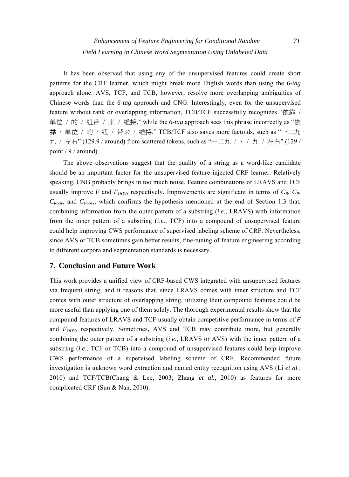It has been observed that using any of the unsupervised features could create short patterns for the CRF learner, which might break more English words than using the *6-tag* approach alone. AVS, TCF, and TCB, however, resolve more overlapping ambiguities of Chinese words than the *6-tag* approach and CNG. Interestingly, even for the unsupervised feature without rank or overlapping information, TCB/TCF successfully recognizes "依靠 / 单位 / 的 / 纽带 / 来 / 维持," while the *6-tag* approach sees this phrase incorrectly as "依 靠 / 单位 / 的 / 纽 / 带来 / 维持." TCB/TCF also saves more factoids, such as "一二九· 九 / 左右" (129.9 / around) from scattered tokens, such as "一二九 / · / 九 / 左右" (129 / point / 9 / around).

The above observations suggest that the quality of a string as a word-like candidate should be an important factor for the unsupervised feature injected CRF learner. Relatively speaking, CNG probably brings in too much noise. Feature combinations of LRAVS and TCF usually improve *F* and  $F_{OOV}$ , respectively. Improvements are significant in terms of  $C_R$ ,  $C_P$ ,  $C_{Room}$ , and  $C_{Power}$ , which confirms the hypothesis mentioned at the end of Section 1.3 that, combining information from the outer pattern of a substring (*i*.*e*., LRAVS) with information from the inner pattern of a substring (*i*.*e*., TCF) into a compound of unsupervised feature could help improving CWS performance of supervised labeling scheme of CRF. Nevertheless, since AVS or TCB sometimes gain better results, fine-tuning of feature engineering according to different corpora and segmentation standards is necessary.

# **7. Conclusion and Future Work**

This work provides a unified view of CRF-based CWS integrated with unsupervised features via frequent string, and it reasons that, since LRAVS comes with inner structure and TCF comes with outer structure of overlapping string, utilizing their compound features could be more useful than applying one of them solely. The thorough experimental results show that the compound features of LRAVS and TCF usually obtain competitive performance in terms of *F* and  $F_{OOV}$ , respectively. Sometimes, AVS and TCB may contribute more, but generally combining the outer pattern of a substring (*i*.*e*., LRAVS or AVS) with the inner pattern of a substring (*i*.*e*., TCF or TCB) into a compound of unsupervised features could help improve CWS performance of a supervised labeling scheme of CRF. Recommended future investigation is unknown word extraction and named entity recognition using AVS (Li *[et al.](#page-28-0)*, [2010\)](#page-28-0) and TCF/TCB([Chang & Lee, 2003](#page-27-0); Zhang *[et al.](#page-29-0)*, 2010) as features for more complicated CRF [\(Sun & Nan, 2010\)](#page-28-0).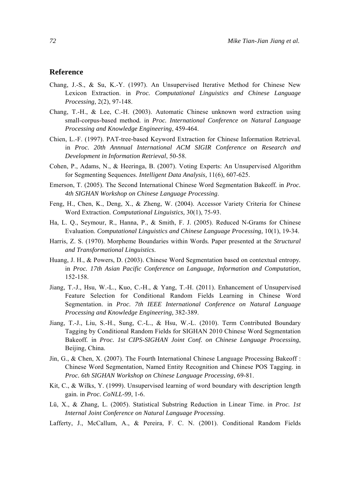# <span id="page-27-0"></span>**Reference**

- Chang, J.-S., & Su, K.-Y. (1997). An Unsupervised Iterative Method for Chinese New Lexicon Extraction. in *Proc. Computational Linguistics and Chinese Language Processing,* 2(2), 97-148.
- Chang, T.-H., & Lee, C.-H. (2003). Automatic Chinese unknown word extraction using small-corpus-based method*.* in *Proc. International Conference on Natural Language Processing and Knowledge Engineering*, 459-464.
- Chien, L.-F. (1997). PAT-tree-based Keyword Extraction for Chinese Information Retrieval*.* in *Proc. 20th Annnual International ACM SIGIR Conference on Research and Development in Information Retrieval*, 50-58.
- Cohen, P., Adams, N., & Heeringa, B. (2007). Voting Experts: An Unsupervised Algorithm for Segmenting Sequences. *Intelligent Data Analysis,* 11(6), 607-625.
- Emerson, T. (2005). The Second International Chinese Word Segmentation Bakeoff*.* in *Proc. 4th SIGHAN Workshop on Chinese Language Processing*.
- Feng, H., Chen, K., Deng, X., & Zheng, W. (2004). Accessor Variety Criteria for Chinese Word Extraction. *Computational Linguistics,* 30(1), 75-93.
- Ha, L. Q., Seymour, R., Hanna, P., & Smith, F. J. (2005). Reduced N-Grams for Chinese Evaluation. *Computational Linguistics and Chinese Language Processing,* 10(1), 19-34.
- Harris, Z. S. (1970). Morpheme Boundaries within Words*.* Paper presented at the *Structural and Transformational Linguistics*.
- Huang, J. H., & Powers, D. (2003). Chinese Word Segmentation based on contextual entropy*.* in *Proc. 17th Asian Pacific Conference on Language, Information and Computation*, 152-158.
- Jiang, T.-J., Hsu, W.-L., Kuo, C.-H., & Yang, T.-H. (2011). Enhancement of Unsupervised Feature Selection for Conditional Random Fields Learning in Chinese Word Segmentation. in *Proc. 7th IEEE International Conference on Natural Language Processing and Knowledge Engineering,* 382-389.
- Jiang, T.-J., Liu, S.-H., Sung, C.-L., & Hsu, W.-L. (2010). Term Contributed Boundary Tagging by Conditional Random Fields for SIGHAN 2010 Chinese Word Segmentation Bakeoff*.* in *Proc. 1st CIPS-SIGHAN Joint Conf. on Chinese Language Processing*, Beijing, China.
- Jin, G., & Chen, X. (2007). The Fourth International Chinese Language Processing Bakeoff : Chinese Word Segmentation, Named Entity Recognition and Chinese POS Tagging. in *Proc. 6th SIGHAN Workshop on Chinese Language Processing*, 69-81.
- Kit, C., & Wilks, Y. (1999). Unsupervised learning of word boundary with description length gain*.* in *Proc. CoNLL-99*, 1-6.
- Lü, X., & Zhang, L. (2005). Statistical Substring Reduction in Linear Time. in *Proc. 1st Internal Joint Conference on Natural Language Processing*.
- Lafferty, J., [McCallum,](http://repository.upenn.edu/do/search/?q=author_lname%3A%22McCallum%22%20author_fname%3A%22Andrew%22&start=0&context=19929) A., & [Pereira,](http://repository.upenn.edu/do/search/?q=author_lname%3A%22Pereira%22%20author_fname%3A%22Fernando%22&start=0&context=19929) F. C. N. (2001). Conditional Random Fields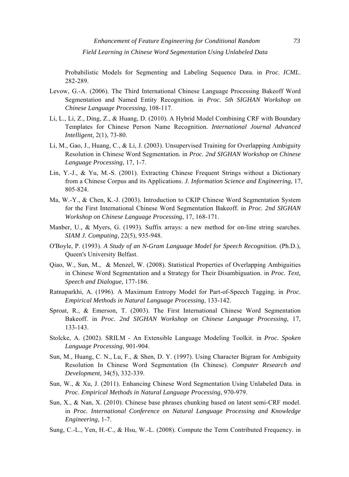<span id="page-28-0"></span>Probabilistic Models for Segmenting and Labeling Sequence Data. in *Proc. ICML*. 282-289.

- Levow, G.-A. (2006). The Third International Chinese Language Processing Bakeoff Word Segmentation and Named Entity Recognition*.* in *Proc. 5th SIGHAN Workshop on Chinese Language Processing,* 108-117.
- Li, L., Li, Z., Ding, Z., & Huang, D. (2010). A Hybrid Model Combining CRF with Boundary Templates for Chinese Person Name Recognition. *International Journal Advanced Intelligent,* 2(1), 73-80.
- Li, M., Gao, J., Huang, C., & Li, J. (2003). Unsupervised Training for Overlapping Ambiguity Resolution in Chinese Word Segmentation*.* in *Proc. 2nd SIGHAN Workshop on Chinese Language Processing*, 17, 1-7.
- Lin, Y.-J., & Yu, M.-S. (2001). Extracting Chinese Frequent Strings without a Dictionary from a Chinese Corpus and its Applications. *J. Information Science and Engineering,* 17, 805-824.
- Ma, W.-Y., & Chen, K.-J. (2003). Introduction to CKIP Chinese Word Segmentation System for the First International Chinese Word Segmentation Bakeoff*.* in *Proc. 2nd SIGHAN Workshop on Chinese Language Processing*, 17, 168-171.
- Manber, U., & Myers, G. (1993). Suffix arrays: a new method for on-line string searches. *SIAM J. Computing,* 22(5), 935-948.
- O'Boyle, P. (1993). *A Study of an N-Gram Language Model for Speech Recognition.* (Ph.D.), Queen's University Belfast.
- Qiao, W., Sun, M., & [Menzel,](http://link.springer.com/search?facet-author=%22Wolfgang+Menzel%22) W. (2008). Statistical Properties of Overlapping Ambiguities in Chinese Word Segmentation and a Strategy for Their Disambiguation. in *Proc. Text, Speech and Dialogue*, 177-186.
- Ratnaparkhi, A. (1996). A Maximum Entropy Model for Part-of-Speech Tagging*.* in *Proc. Empirical Methods in Natural Language Processing*, 133-142.
- Sproat, R., & Emerson, T. (2003). The First International Chinese Word Segmentation Bakeoff. in *Proc. 2nd SIGHAN Workshop on Chinese Language Processing*, 17, 133-143.
- Stolcke, A. (2002). SRILM An Extensible Language Modeling Toolkit. in *Proc. Spoken Language Processing*, 901-904.
- Sun, M., Huang, C. N., [Lu, F., & Shen, D. Y.](http://it.alljournals.cn/search_by_author.aspx?subject=industry_technology&major=zdhjsjsjjs&orderby=referenced&field=author_name&q=LU+Fang%5c+SHEN+Da++Yang&prev_q=LU%20Fang\%20SHEN%20Da%20%20Yang) (1997). Using Character Bigram for Ambiguity Resolution In Chinese Word Segmentation (In Chinese). *Computer Research and Development,* 34(5), 332-339.
- Sun, W., & Xu, J. (2011). Enhancing Chinese Word Segmentation Using Unlabeled Data. in *Proc. Empirical Methods in Natural Language Processing,* 970-979.
- Sun, X., & Nan, X. (2010). Chinese base phrases chunking based on latent semi-CRF model. in *Proc. International Conference on Natural Language Processing and Knowledge Engineering*, 1-7.
- Sung, C.-L., Yen, H.-C., & Hsu, W.-L. (2008). Compute the Term Contributed Frequency. in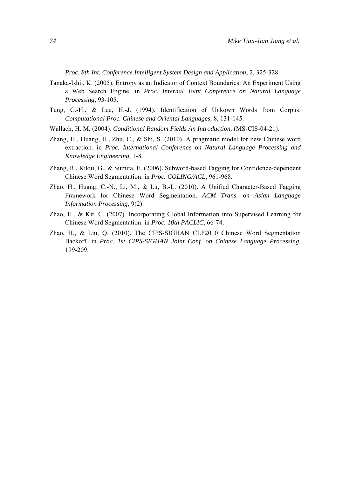*Proc. 8th Int. Conference Intelligent System Design and Application*, 2, 325-328.

- <span id="page-29-0"></span>Tanaka-Ishii, K. (2005). Entropy as an Indicator of Context Boundaries: An Experiment Using a Web Search Engine. in *Proc. Internal Joint Conference on Natural Language Processing*, 93-105.
- Tung, C.-H., & Lee, H.-J. (1994). Identification of Unkown Words from Corpus. *Computational Proc. Chinese and Oriental Languages,* 8, 131-145.
- Wallach, H. M. (2004). *Conditional Random Fields An Introduction*. (MS-CIS-04-21).
- Zhang, H., Huang, H., Zhu, C., & Shi, S. (2010). A pragmatic model for new Chinese word extraction*.* in *Proc. International Conference on Natural Language Processing and Knowledge Engineering*, 1-8.
- Zhang, R., Kikui, G., & Sumita, E. (2006). Subword-based Tagging for Confidence-dependent Chinese Word Segmentation. in *Proc. COLING/ACL*, 961-968.
- Zhao, H., Huang, C.-N., Li, M., & Lu, B.-L. (2010). A Unified Character-Based Tagging Framework for Chinese Word Segmentation. *ACM Trans. on Asian Language Information Processing,* 9(2).
- Zhao, H., & Kit, C. (2007). Incorporating Global Information into Supervised Learning for Chinese Word Segmentation. in *Proc. 10th PACLIC*, 66-74.
- Zhao, H., & Liu, Q. (2010). The CIPS-SIGHAN CLP2010 Chinese Word Segmentation Backoff*.* in *Proc. 1st CIPS-SIGHAN Joint Conf. on Chinese Language Processing*, 199-209.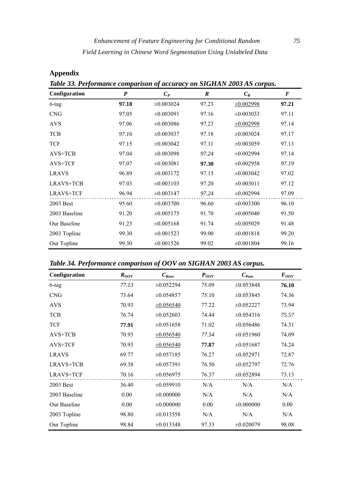| Table 33. Performance comparison of accuracy on SIGHAN 2003 AS corpus. |                  |                |                  |                |                  |  |  |  |
|------------------------------------------------------------------------|------------------|----------------|------------------|----------------|------------------|--|--|--|
| Configuration                                                          | $\boldsymbol{P}$ | $C_P$          | $\boldsymbol{R}$ | $C_R$          | $\boldsymbol{F}$ |  |  |  |
| 6-tag                                                                  | 97.18            | $\pm 0.003024$ | 97.23            | $\pm 0.002998$ | 97.21            |  |  |  |
| <b>CNG</b>                                                             | 97.05            | $\pm 0.003091$ | 97.16            | $\pm 0.003033$ | 97.11            |  |  |  |
| <b>AVS</b>                                                             | 97.06            | $\pm 0.003086$ | 97.23            | $\pm 0.002998$ | 97.14            |  |  |  |
| <b>TCB</b>                                                             | 97.16            | $\pm 0.003037$ | 97.18            | $\pm 0.003024$ | 97.17            |  |  |  |
| <b>TCF</b>                                                             | 97.15            | $\pm 0.003042$ | 97.11            | $\pm 0.003059$ | 97.13            |  |  |  |
| $AVS+TCB$                                                              | 97.04            | $\pm 0.003098$ | 97.24            | $\pm 0.002994$ | 97.14            |  |  |  |
| AVS+TCF                                                                | 97.07            | $\pm 0.003081$ | 97.30            | $\pm 0.002958$ | 97.19            |  |  |  |
| <b>LRAVS</b>                                                           | 96.89            | $\pm 0.003172$ | 97.15            | $\pm 0.003042$ | 97.02            |  |  |  |
| LRAVS+TCB                                                              | 97.03            | $\pm 0.003103$ | 97.20            | $\pm 0.003011$ | 97.12            |  |  |  |
| LRAVS+TCF                                                              | 96.94            | $\pm 0.003147$ | 97.24            | $\pm 0.002994$ | 97.09            |  |  |  |
| 2003 Best                                                              | 95.60            | $\pm 0.003700$ | 96.60            | $\pm 0.003300$ | 96.10            |  |  |  |
| 2003 Baseline                                                          | 91.20            | $\pm 0.005175$ | 91.70            | $\pm 0.005040$ | 91.50            |  |  |  |
| Our Baseline                                                           | 91.23            | $\pm 0.005168$ | 91.74            | $\pm 0.005029$ | 91.48            |  |  |  |
| 2003 Topline                                                           | 99.30            | $\pm 0.001523$ | 99.00            | $\pm 0.001818$ | 99.20            |  |  |  |
| Our Topline                                                            | 99.30            | $\pm 0.001526$ | 99.02            | $\pm 0.001804$ | 99.16            |  |  |  |

**Appendix** 

*Table 33. Performance comparison of accuracy on SIGHAN 2003 AS corpus.* 

*Table 34. Performance comparison of OOV on SIGHAN 2003 AS corpus.* 

| Configuration    | $R_{OOV}$ | $C_{\text{Root}}$ | $P_{OOV}$ | $C_{\it{Poov}}$ | $F_{OOV}$ |
|------------------|-----------|-------------------|-----------|-----------------|-----------|
| $6$ -tag         | 77.13     | $\pm 0.052294$    | 75.09     | $\pm 0.053848$  | 76.10     |
| <b>CNG</b>       | 73.64     | $\pm 0.054857$    | 75.10     | $\pm 0.053845$  | 74.36     |
| <b>AVS</b>       | 70.93     | $\pm 0.056540$    | 77.22     | $\pm 0.052227$  | 73.94     |
| <b>TCB</b>       | 76.74     | $\pm 0.052603$    | 74.44     | $\pm 0.054316$  | 75.57     |
| <b>TCF</b>       | 77.91     | $\pm 0.051658$    | 71.02     | $\pm 0.056486$  | 74.31     |
| AVS+TCB          | 70.93     | $\pm 0.056540$    | 77.54     | $\pm 0.051960$  | 74.09     |
| AVS+TCF          | 70.93     | $\pm 0.056540$    | 77.87     | $\pm 0.051687$  | 74.24     |
| <b>LRAVS</b>     | 69.77     | $\pm 0.057185$    | 76.27     | $\pm 0.052971$  | 72.87     |
| <b>LRAVS+TCB</b> | 69.38     | $\pm 0.057391$    | 76.50     | $\pm 0.052797$  | 72.76     |
| <b>LRAVS+TCF</b> | 70.16     | $\pm 0.056975$    | 76.37     | $\pm 0.052894$  | 73.13     |
| 2003 Best        | 36.40     | $\pm 0.059910$    | N/A       | N/A             | N/A       |
| 2003 Baseline    | 0.00      | $\pm 0.000000$    | N/A       | N/A             | N/A       |
| Our Baseline     | 0.00      | $\pm 0.000000$    | 0.00      | $\pm 0.000000$  | 0.00      |
| 2003 Topline     | 98.80     | $\pm 0.013558$    | N/A       | N/A             | N/A       |
| Our Topline      | 98.84     | $\pm 0.013348$    | 97.33     | $\pm 0.020079$  | 98.08     |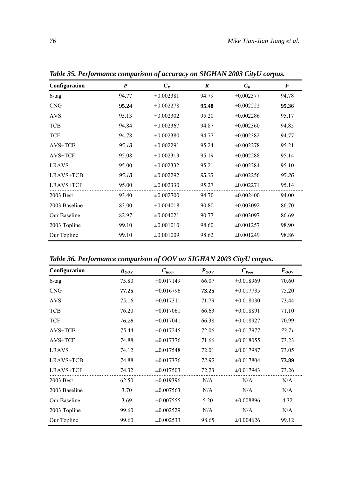| Configuration    | $\boldsymbol{P}$ | $C_P$          | $\boldsymbol{R}$ | $C_R$          | $\bm{F}$ |
|------------------|------------------|----------------|------------------|----------------|----------|
| 6-tag            | 94.77            | $\pm 0.002381$ | 94.79            | $\pm 0.002377$ | 94.78    |
| <b>CNG</b>       | 95.24            | $\pm 0.002278$ | 95.48            | $\pm 0.002222$ | 95.36    |
| <b>AVS</b>       | 95.13            | $\pm 0.002302$ | 95.20            | $\pm 0.002286$ | 95.17    |
| <b>TCB</b>       | 94.84            | $\pm 0.002367$ | 94.87            | $\pm 0.002360$ | 94.85    |
| <b>TCF</b>       | 94.78            | $\pm 0.002380$ | 94.77            | $\pm 0.002382$ | 94.77    |
| AVS+TCB          | 95.18            | $\pm 0.002291$ | 95.24            | $\pm 0.002278$ | 95.21    |
| AVS+TCF          | 95.08            | $\pm 0.002313$ | 95.19            | $\pm 0.002288$ | 95.14    |
| <b>LRAVS</b>     | 95.00            | $\pm 0.002332$ | 95.21            | $\pm 0.002284$ | 95.10    |
| <b>LRAVS+TCB</b> | 95.18            | $\pm 0.002292$ | 95.33            | $\pm 0.002256$ | 95.26    |
| <b>LRAVS+TCF</b> | 95.00            | $\pm 0.002330$ | 95.27            | $\pm 0.002271$ | 95.14    |
| 2003 Best        | 93.40            | $\pm 0.002700$ | 94.70            | $\pm 0.002400$ | 94.00    |
| 2003 Baseline    | 83.00            | $\pm 0.004018$ | 90.80            | $\pm 0.003092$ | 86.70    |
| Our Baseline     | 82.97            | $\pm 0.004021$ | 90.77            | $\pm 0.003097$ | 86.69    |
| 2003 Topline     | 99.10            | $\pm 0.001010$ | 98.60            | $\pm 0.001257$ | 98.90    |
| Our Topline      | 99.10            | $\pm 0.001009$ | 98.62            | $\pm 0.001249$ | 98.86    |

*Table 35. Performance comparison of accuracy on SIGHAN 2003 CityU corpus.* 

*Table 36. Performance comparison of OOV on SIGHAN 2003 CityU corpus.* 

| Configuration    | $R_{OOV}$ | $C_{\mathit{Root}}$ | $P_{OOV}$ | $\mathcal{C}_{\mathit{Poov}}$ | $F_{OOV}$ |
|------------------|-----------|---------------------|-----------|-------------------------------|-----------|
| 6-tag            | 75.80     | $\pm 0.017149$      | 66.07     | $\pm 0.018969$                | 70.60     |
| <b>CNG</b>       | 77.25     | $\pm 0.016796$      | 73.25     | $\pm 0.017735$                | 75.20     |
| <b>AVS</b>       | 75.16     | $\pm 0.017311$      | 71.79     | $\pm 0.018030$                | 73.44     |
| <b>TCB</b>       | 76.20     | $\pm 0.017061$      | 66.63     | $\pm 0.018891$                | 71.10     |
| <b>TCF</b>       | 76.28     | $\pm 0.017041$      | 66.38     | $\pm 0.018927$                | 70.99     |
| $AVS+TCB$        | 75.44     | $\pm 0.017245$      | 72.06     | $\pm 0.017977$                | 73.71     |
| AVS+TCF          | 74.88     | $\pm 0.017376$      | 71.66     | $\pm 0.018055$                | 73.23     |
| <b>LRAVS</b>     | 74.12     | $\pm 0.017548$      | 72.01     | $\pm 0.017987$                | 73.05     |
| LRAVS+TCB        | 74.88     | $\pm 0.017376$      | 72.92     | $\pm 0.017804$                | 73.89     |
| <b>LRAVS+TCF</b> | 74.32     | $\pm 0.017503$      | 72.23     | $\pm 0.017943$                | 73.26     |
| 2003 Best        | 62.50     | $\pm 0.019396$      | N/A       | N/A                           | N/A       |
| 2003 Baseline    | 3.70      | $\pm 0.007563$      | N/A       | N/A                           | N/A       |
| Our Baseline     | 3.69      | $\pm 0.007555$      | 5.20      | $\pm 0.008896$                | 4.32      |
| 2003 Topline     | 99.60     | $\pm 0.002529$      | N/A       | N/A                           | N/A       |
| Our Topline      | 99.60     | $\pm 0.002533$      | 98.65     | $\pm 0.004626$                | 99.12     |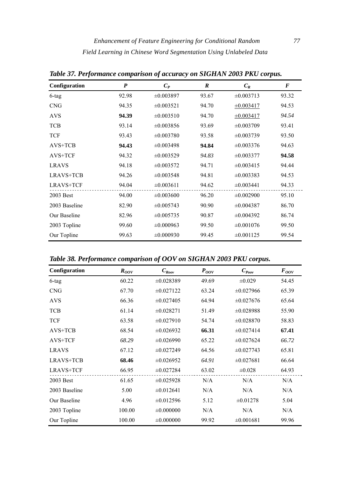| Configuration    | P     | $C_P$          | $\boldsymbol{R}$ | $C_R$          | $\bm{F}$ |
|------------------|-------|----------------|------------------|----------------|----------|
| 6-tag            | 92.98 | $\pm 0.003897$ | 93.67            | $\pm 0.003713$ | 93.32    |
| <b>CNG</b>       | 94.35 | $\pm 0.003521$ | 94.70            | $\pm 0.003417$ | 94.53    |
| <b>AVS</b>       | 94.39 | $\pm 0.003510$ | 94.70            | $\pm 0.003417$ | 94.54    |
| <b>TCB</b>       | 93.14 | $\pm 0.003856$ | 93.69            | $\pm 0.003709$ | 93.41    |
| <b>TCF</b>       | 93.43 | $\pm 0.003780$ | 93.58            | $\pm 0.003739$ | 93.50    |
| AVS+TCB          | 94.43 | $\pm 0.003498$ | 94.84            | $\pm 0.003376$ | 94.63    |
| AVS+TCF          | 94.32 | $\pm 0.003529$ | 94.83            | $\pm 0.003377$ | 94.58    |
| <b>LRAVS</b>     | 94.18 | $\pm 0.003572$ | 94.71            | $\pm 0.003415$ | 94.44    |
| LRAVS+TCB        | 94.26 | $\pm 0.003548$ | 94.81            | $\pm 0.003383$ | 94.53    |
| <b>LRAVS+TCF</b> | 94.04 | $\pm 0.003611$ | 94.62            | $\pm 0.003441$ | 94.33    |
| 2003 Best        | 94.00 | $\pm 0.003600$ | 96.20            | $\pm 0.002900$ | 95.10    |
| 2003 Baseline    | 82.90 | $\pm 0.005743$ | 90.90            | $\pm 0.004387$ | 86.70    |
| Our Baseline     | 82.96 | $\pm 0.005735$ | 90.87            | $\pm 0.004392$ | 86.74    |
| 2003 Topline     | 99.60 | $\pm 0.000963$ | 99.50            | $\pm 0.001076$ | 99.50    |
| Our Topline      | 99.63 | $\pm 0.000930$ | 99.45            | $\pm 0.001125$ | 99.54    |

*Table 37. Performance comparison of accuracy on SIGHAN 2003 PKU corpus.* 

*Table 38. Performance comparison of OOV on SIGHAN 2003 PKU corpus.* 

| Configuration    | $R_{OOV}$ | $C_{\text{Root}}$ | $P_{OOV}$ | $C_{\it{Poov}}$ | $F_{OOV}$ |
|------------------|-----------|-------------------|-----------|-----------------|-----------|
| $6$ -tag         | 60.22     | $\pm 0.028389$    | 49.69     | $\pm 0.029$     | 54.45     |
| <b>CNG</b>       | 67.70     | $\pm 0.027122$    | 63.24     | $\pm 0.027966$  | 65.39     |
| <b>AVS</b>       | 66.36     | $\pm 0.027405$    | 64.94     | $\pm 0.027676$  | 65.64     |
| <b>TCB</b>       | 61.14     | $\pm 0.028271$    | 51.49     | $\pm 0.028988$  | 55.90     |
| <b>TCF</b>       | 63.58     | $\pm 0.027910$    | 54.74     | $\pm 0.028870$  | 58.83     |
| $AVS+TCB$        | 68.54     | $\pm 0.026932$    | 66.31     | $\pm 0.027414$  | 67.41     |
| AVS+TCF          | 68.29     | $\pm 0.026990$    | 65.22     | $\pm 0.027624$  | 66.72     |
| <b>LRAVS</b>     | 67.12     | $\pm 0.027249$    | 64.56     | $\pm 0.027743$  | 65.81     |
| LRAVS+TCB        | 68.46     | $\pm 0.026952$    | 64.91     | $\pm 0.027681$  | 66.64     |
| <b>LRAVS+TCF</b> | 66.95     | $\pm 0.027284$    | 63.02     | $\pm 0.028$     | 64.93     |
| 2003 Best        | 61.65     | $\pm 0.025928$    | N/A       | N/A             | N/A       |
| 2003 Baseline    | 5.00      | $\pm 0.012641$    | N/A       | N/A             | N/A       |
| Our Baseline     | 4.96      | $\pm 0.012596$    | 5.12      | $\pm 0.01278$   | 5.04      |
| 2003 Topline     | 100.00    | $\pm 0.000000$    | N/A       | N/A             | N/A       |
| Our Topline      | 100.00    | $\pm 0.000000$    | 99.92     | $\pm 0.001681$  | 99.96     |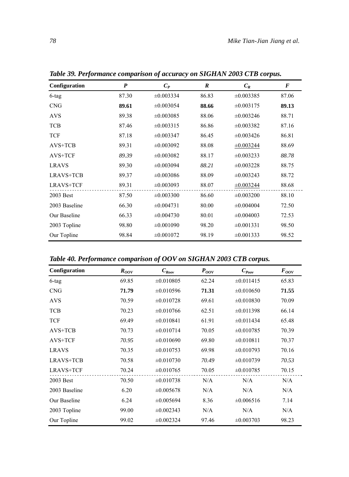| Configuration    | P     | $C_P$          | $\boldsymbol{R}$ | $C_R$          | $\bm{F}$ |
|------------------|-------|----------------|------------------|----------------|----------|
| 6-tag            | 87.30 | $\pm 0.003334$ | 86.83            | $\pm 0.003385$ | 87.06    |
| <b>CNG</b>       | 89.61 | $\pm 0.003054$ | 88.66            | $\pm 0.003175$ | 89.13    |
| <b>AVS</b>       | 89.38 | $\pm 0.003085$ | 88.06            | $\pm 0.003246$ | 88.71    |
| TCB              | 87.46 | $\pm 0.003315$ | 86.86            | $\pm 0.003382$ | 87.16    |
| <b>TCF</b>       | 87.18 | $\pm 0.003347$ | 86.45            | $\pm 0.003426$ | 86.81    |
| AVS+TCB          | 89.31 | $\pm 0.003092$ | 88.08            | $\pm 0.003244$ | 88.69    |
| AVS+TCF          | 89.39 | $\pm 0.003082$ | 88.17            | $\pm 0.003233$ | 88.78    |
| <b>LRAVS</b>     | 89.30 | $\pm 0.003094$ | 88.21            | $\pm 0.003228$ | 88.75    |
| <b>LRAVS+TCB</b> | 89.37 | $\pm 0.003086$ | 88.09            | $\pm 0.003243$ | 88.72    |
| <b>LRAVS+TCF</b> | 89.31 | $\pm 0.003093$ | 88.07            | $\pm 0.003244$ | 88.68    |
| 2003 Best        | 87.50 | $\pm 0.003300$ | 86.60            | $\pm 0.003200$ | 88.10    |
| 2003 Baseline    | 66.30 | $\pm 0.004731$ | 80.00            | $\pm 0.004004$ | 72.50    |
| Our Baseline     | 66.33 | $\pm 0.004730$ | 80.01            | $\pm 0.004003$ | 72.53    |
| 2003 Topline     | 98.80 | $\pm 0.001090$ | 98.20            | $\pm 0.001331$ | 98.50    |
| Our Topline      | 98.84 | $\pm 0.001072$ | 98.19            | $\pm 0.001333$ | 98.52    |

*Table 39. Performance comparison of accuracy on SIGHAN 2003 CTB corpus.* 

*Table 40. Performance comparison of OOV on SIGHAN 2003 CTB corpus.* 

| Configuration    | $R_{OOV}$ | $C_{\mathit{Root}}$ | $P_{OOV}$ | $C_{\it{Poov}}$ | $F_{OOV}$ |
|------------------|-----------|---------------------|-----------|-----------------|-----------|
| $6$ -tag         | 69.85     | $\pm 0.010805$      | 62.24     | $\pm 0.011415$  | 65.83     |
| <b>CNG</b>       | 71.79     | $\pm 0.010596$      | 71.31     | $\pm 0.010650$  | 71.55     |
| <b>AVS</b>       | 70.59     | $\pm 0.010728$      | 69.61     | $\pm 0.010830$  | 70.09     |
| <b>TCB</b>       | 70.23     | $\pm 0.010766$      | 62.51     | $\pm 0.011398$  | 66.14     |
| <b>TCF</b>       | 69.49     | $\pm 0.010841$      | 61.91     | $\pm 0.011434$  | 65.48     |
| $AVS+TCB$        | 70.73     | $\pm 0.010714$      | 70.05     | $\pm 0.010785$  | 70.39     |
| AVS+TCF          | 70.95     | $\pm 0.010690$      | 69.80     | $\pm 0.010811$  | 70.37     |
| <b>LRAVS</b>     | 70.35     | $\pm 0.010753$      | 69.98     | $\pm 0.010793$  | 70.16     |
| LRAVS+TCB        | 70.58     | $\pm 0.010730$      | 70.49     | $\pm 0.010739$  | 70.53     |
| <b>LRAVS+TCF</b> | 70.24     | $\pm 0.010765$      | 70.05     | $\pm 0.010785$  | 70.15     |
| 2003 Best        | 70.50     | $\pm 0.010738$      | N/A       | N/A             | N/A       |
| 2003 Baseline    | 6.20      | $\pm 0.005678$      | N/A       | N/A             | N/A       |
| Our Baseline     | 6.24      | $\pm 0.005694$      | 8.36      | $\pm 0.006516$  | 7.14      |
| 2003 Topline     | 99.00     | $\pm 0.002343$      | N/A       | N/A             | N/A       |
| Our Topline      | 99.02     | $\pm 0.002324$      | 97.46     | $\pm 0.003703$  | 98.23     |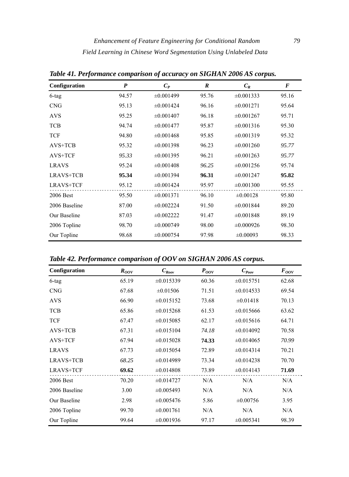| Configuration    | $\boldsymbol{P}$ | $C_P$          | $\boldsymbol{R}$ | $C_R$          | $\bm{F}$ |
|------------------|------------------|----------------|------------------|----------------|----------|
| $6$ -tag         | 94.57            | $\pm 0.001499$ | 95.76            | $\pm 0.001333$ | 95.16    |
| <b>CNG</b>       | 95.13            | $\pm 0.001424$ | 96.16            | $\pm 0.001271$ | 95.64    |
| <b>AVS</b>       | 95.25            | $\pm 0.001407$ | 96.18            | $\pm 0.001267$ | 95.71    |
| <b>TCB</b>       | 94.74            | $\pm 0.001477$ | 95.87            | $\pm 0.001316$ | 95.30    |
| <b>TCF</b>       | 94.80            | $\pm 0.001468$ | 95.85            | $\pm 0.001319$ | 95.32    |
| $AVS+TCB$        | 95.32            | $\pm 0.001398$ | 96.23            | $\pm 0.001260$ | 95.77    |
| AVS+TCF          | 95.33            | $\pm 0.001395$ | 96.21            | $\pm 0.001263$ | 95.77    |
| <b>LRAVS</b>     | 95.24            | $\pm 0.001408$ | 96.25            | $\pm 0.001256$ | 95.74    |
| LRAVS+TCB        | 95.34            | $\pm 0.001394$ | 96.31            | $\pm 0.001247$ | 95.82    |
| <b>LRAVS+TCF</b> | 95.12            | $\pm 0.001424$ | 95.97            | $\pm 0.001300$ | 95.55    |
| 2006 Best        | 95.50            | $\pm 0.001371$ | 96.10            | $\pm 0.00128$  | 95.80    |
| 2006 Baseline    | 87.00            | $\pm 0.002224$ | 91.50            | $\pm 0.001844$ | 89.20    |
| Our Baseline     | 87.03            | $\pm 0.002222$ | 91.47            | $\pm 0.001848$ | 89.19    |
| 2006 Topline     | 98.70            | $\pm 0.000749$ | 98.00            | $\pm 0.000926$ | 98.30    |
| Our Topline      | 98.68            | $\pm 0.000754$ | 97.98            | $\pm 0.00093$  | 98.33    |

*Table 41. Performance comparison of accuracy on SIGHAN 2006 AS corpus.* 

*Table 42. Performance comparison of OOV on SIGHAN 2006 AS corpus.* 

| Configuration    | $R_{OOV}$ | $C_{\mathit{Root}}$ | $P_{OOV}$ | $C_{\it{Poov}}$ | $F_{OOV}$ |
|------------------|-----------|---------------------|-----------|-----------------|-----------|
| 6-tag            | 65.19     | $\pm 0.015339$      | 60.36     | $\pm 0.015751$  | 62.68     |
| <b>CNG</b>       | 67.68     | $\pm 0.01506$       | 71.51     | $\pm 0.014533$  | 69.54     |
| <b>AVS</b>       | 66.90     | $\pm 0.015152$      | 73.68     | $\pm 0.01418$   | 70.13     |
| <b>TCB</b>       | 65.86     | $\pm 0.015268$      | 61.53     | $\pm 0.015666$  | 63.62     |
| <b>TCF</b>       | 67.47     | $\pm 0.015085$      | 62.17     | $\pm 0.015616$  | 64.71     |
| $AVS+TCB$        | 67.31     | $\pm 0.015104$      | 74.18     | $\pm 0.014092$  | 70.58     |
| AVS+TCF          | 67.94     | $\pm 0.015028$      | 74.33     | $\pm 0.014065$  | 70.99     |
| <b>LRAVS</b>     | 67.73     | $\pm 0.015054$      | 72.89     | $\pm 0.014314$  | 70.21     |
| LRAVS+TCB        | 68.25     | $\pm 0.014989$      | 73.34     | $\pm 0.014238$  | 70.70     |
| <b>LRAVS+TCF</b> | 69.62     | $\pm 0.014808$      | 73.89     | $\pm 0.014143$  | 71.69     |
| 2006 Best        | 70.20     | $\pm 0.014727$      | N/A       | N/A             | N/A       |
| 2006 Baseline    | 3.00      | $\pm 0.005493$      | N/A       | N/A             | N/A       |
| Our Baseline     | 2.98      | $\pm 0.005476$      | 5.86      | $\pm 0.00756$   | 3.95      |
| 2006 Topline     | 99.70     | $\pm 0.001761$      | N/A       | N/A             | N/A       |
| Our Topline      | 99.64     | $\pm 0.001936$      | 97.17     | $\pm 0.005341$  | 98.39     |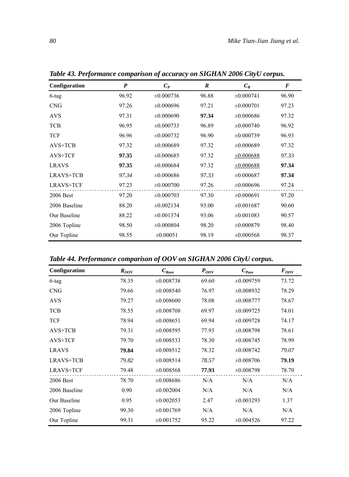| Configuration    | $\boldsymbol{P}$ | $C_P$          | R     | $C_R$          | $\bm{F}$ |
|------------------|------------------|----------------|-------|----------------|----------|
| 6-tag            | 96.92            | $\pm 0.000736$ | 96.88 | $\pm 0.000741$ | 96.90    |
| <b>CNG</b>       | 97.26            | $\pm 0.000696$ | 97.21 | $\pm 0.000701$ | 97.23    |
| <b>AVS</b>       | 97.31            | $\pm 0.000690$ | 97.34 | $\pm 0.000686$ | 97.32    |
| <b>TCB</b>       | 96.95            | $\pm 0.000733$ | 96.89 | $\pm 0.000740$ | 96.92    |
| <b>TCF</b>       | 96.96            | $\pm 0.000732$ | 96.90 | $\pm 0.000739$ | 96.93    |
| AVS+TCB          | 97.32            | $\pm 0.000689$ | 97.32 | $\pm 0.000689$ | 97.32    |
| AVS+TCF          | 97.35            | $\pm 0.000685$ | 97.32 | $\pm 0.000688$ | 97.33    |
| <b>LRAVS</b>     | 97.35            | $\pm 0.000684$ | 97.32 | $\pm 0.000688$ | 97.34    |
| <b>LRAVS+TCB</b> | 97.34            | $\pm 0.000686$ | 97.33 | $\pm 0.000687$ | 97.34    |
| <b>LRAVS+TCF</b> | 97.23            | $\pm 0.000700$ | 97.26 | $\pm 0.000696$ | 97.24    |
| 2006 Best        | 97.20            | $\pm 0.000703$ | 97.30 | $\pm 0.000691$ | 97.20    |
| 2006 Baseline    | 88.20            | $\pm 0.002134$ | 93.00 | $\pm 0.001687$ | 90.60    |
| Our Baseline     | 88.22            | $\pm 0.001374$ | 93.06 | $\pm 0.001083$ | 90.57    |
| 2006 Topline     | 98.50            | $\pm 0.000804$ | 98.20 | $\pm 0.000879$ | 98.40    |
| Our Topline      | 98.55            | $\pm 0.00051$  | 98.19 | $\pm 0.000568$ | 98.37    |

*Table 43. Performance comparison of accuracy on SIGHAN 2006 CityU corpus.* 

*Table 44. Performance comparison of OOV on SIGHAN 2006 CityU corpus.* 

| Configuration    | $R_{OOV}$ | $C_{\text{Root}}$ | $P_{OOV}$ | $C_{\text{Poov}}$ | $F_{OOV}$ |
|------------------|-----------|-------------------|-----------|-------------------|-----------|
| 6-tag            | 78.35     | $\pm 0.008738$    | 69.60     | $\pm 0.009759$    | 73.72     |
| <b>CNG</b>       | 79.66     | $\pm 0.008540$    | 76.97     | $\pm 0.008932$    | 78.29     |
| <b>AVS</b>       | 79.27     | $\pm 0.008600$    | 78.08     | $\pm 0.008777$    | 78.67     |
| <b>TCB</b>       | 78.55     | $\pm 0.008708$    | 69.97     | $\pm 0.009725$    | 74.01     |
| <b>TCF</b>       | 78.94     | $\pm 0.008651$    | 69.94     | $\pm 0.009728$    | 74.17     |
| $AVS+TCB$        | 79.31     | $\pm 0.008595$    | 77.93     | $\pm 0.008798$    | 78.61     |
| AVS+TCF          | 79.70     | $\pm 0.008533$    | 78.30     | $\pm 0.008745$    | 78.99     |
| <b>LRAVS</b>     | 79.84     | $\pm 0.008512$    | 78.32     | $\pm 0.008742$    | 79.07     |
| LRAVS+TCB        | 79.82     | $\pm 0.008514$    | 78.57     | $\pm 0.008706$    | 79.19     |
| <b>LRAVS+TCF</b> | 79.48     | $\pm 0.008568$    | 77.93     | $\pm 0.008798$    | 78.70     |
| 2006 Best        | 78.70     | $\pm 0.008686$    | N/A       | N/A               | N/A       |
| 2006 Baseline    | 0.90      | $\pm 0.002004$    | N/A       | N/A               | N/A       |
| Our Baseline     | 0.95      | $\pm 0.002053$    | 2.47      | $\pm 0.003293$    | 1.37      |
| 2006 Topline     | 99.30     | $\pm 0.001769$    | N/A       | N/A               | N/A       |
| Our Topline      | 99.31     | $\pm 0.001752$    | 95.22     | $\pm 0.004526$    | 97.22     |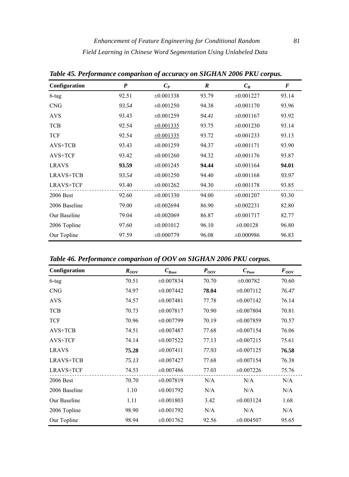| Configuration    | $\boldsymbol{P}$ | $C_P$          | $\boldsymbol{R}$ | $C_R$          | $\bm{F}$ |
|------------------|------------------|----------------|------------------|----------------|----------|
| 6-tag            | 92.51            | $\pm 0.001338$ | 93.79            | $\pm 0.001227$ | 93.14    |
| <b>CNG</b>       | 93.54            | $\pm 0.001250$ | 94.38            | $\pm 0.001170$ | 93.96    |
| <b>AVS</b>       | 93.43            | $\pm 0.001259$ | 94.41            | $\pm 0.001167$ | 93.92    |
| <b>TCB</b>       | 92.54            | $\pm 0.001335$ | 93.75            | $\pm 0.001230$ | 93.14    |
| <b>TCF</b>       | 92.54            | $\pm 0.001335$ | 93.72            | $\pm 0.001233$ | 93.13    |
| AVS+TCB          | 93.43            | $\pm 0.001259$ | 94.37            | $\pm 0.001171$ | 93.90    |
| AVS+TCF          | 93.42            | $\pm 0.001260$ | 94.32            | $\pm 0.001176$ | 93.87    |
| <b>LRAVS</b>     | 93.59            | $\pm 0.001245$ | 94.44            | $\pm 0.001164$ | 94.01    |
| LRAVS+TCB        | 93.54            | $\pm 0.001250$ | 94.40            | $\pm 0.001168$ | 93.97    |
| <b>LRAVS+TCF</b> | 93.40            | $\pm 0.001262$ | 94.30            | $\pm 0.001178$ | 93.85    |
| 2006 Best        | 92.60            | $\pm 0.001330$ | 94.00            | $\pm 0.001207$ | 93.30    |
| 2006 Baseline    | 79.00            | $\pm 0.002694$ | 86.90            | $\pm 0.002231$ | 82.80    |
| Our Baseline     | 79.04            | $\pm 0.002069$ | 86.87            | $\pm 0.001717$ | 82.77    |
| 2006 Topline     | 97.60            | $\pm 0.001012$ | 96.10            | $\pm 0.00128$  | 96.80    |
| Our Topline      | 97.59            | $\pm 0.000779$ | 96.08            | $\pm 0.000986$ | 96.83    |

*Table 45. Performance comparison of accuracy on SIGHAN 2006 PKU corpus.* 

*Table 46. Performance comparison of OOV on SIGHAN 2006 PKU corpus.* 

| Configuration | $R_{OOV}$ | $C_{\mathit{Root}}$ | $P_{OOV}$ | $C_{\text{Poov}}$ | $F_{OOV}$ |
|---------------|-----------|---------------------|-----------|-------------------|-----------|
| 6-tag         | 70.51     | $\pm 0.007834$      | 70.70     | $\pm 0.00782$     | 70.60     |
| <b>CNG</b>    | 74.97     | $\pm 0.007442$      | 78.04     | $\pm 0.007112$    | 76.47     |
| <b>AVS</b>    | 74.57     | $\pm 0.007481$      | 77.78     | $\pm 0.007142$    | 76.14     |
| <b>TCB</b>    | 70.73     | $\pm 0.007817$      | 70.90     | $\pm 0.007804$    | 70.81     |
| <b>TCF</b>    | 70.96     | $\pm 0.007799$      | 70.19     | $\pm 0.007859$    | 70.57     |
| $AVS+TCB$     | 74.51     | $\pm 0.007487$      | 77.68     | $\pm 0.007154$    | 76.06     |
| AVS+TCF       | 74.14     | $\pm 0.007522$      | 77.13     | $\pm 0.007215$    | 75.61     |
| <b>LRAVS</b>  | 75.28     | $\pm 0.007411$      | 77.93     | $\pm 0.007125$    | 76.58     |
| LRAVS+TCB     | 75.13     | $\pm 0.007427$      | 77.68     | $\pm 0.007154$    | 76.38     |
| LRAVS+TCF     | 74.53     | $\pm 0.007486$      | 77.03     | $\pm 0.007226$    | 75.76     |
| 2006 Best     | 70.70     | $\pm 0.007819$      | N/A       | N/A               | N/A       |
| 2006 Baseline | 1.10      | $\pm 0.001792$      | N/A       | N/A               | N/A       |
| Our Baseline  | 1.11      | $\pm 0.001803$      | 3.42      | $\pm 0.003124$    | 1.68      |
| 2006 Topline  | 98.90     | $\pm 0.001792$      | N/A       | N/A               | N/A       |
| Our Topline   | 98.94     | $\pm 0.001762$      | 92.56     | $\pm 0.004507$    | 95.65     |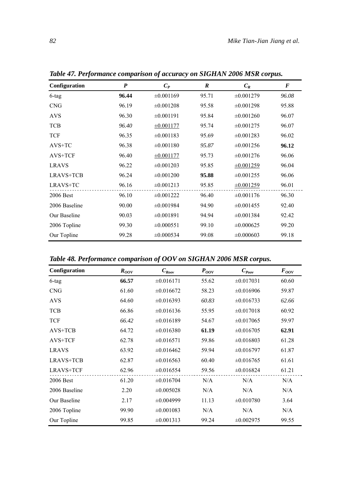| Configuration | P     | $C_P$          | R     | $C_R$          | $\bm{F}$ |
|---------------|-------|----------------|-------|----------------|----------|
| 6-tag         | 96.44 | $\pm 0.001169$ | 95.71 | $\pm 0.001279$ | 96.08    |
| <b>CNG</b>    | 96.19 | $\pm 0.001208$ | 95.58 | $\pm 0.001298$ | 95.88    |
| <b>AVS</b>    | 96.30 | $\pm 0.001191$ | 95.84 | $\pm 0.001260$ | 96.07    |
| <b>TCB</b>    | 96.40 | $\pm 0.001177$ | 95.74 | $\pm 0.001275$ | 96.07    |
| <b>TCF</b>    | 96.35 | $\pm 0.001183$ | 95.69 | $\pm 0.001283$ | 96.02    |
| $AVS+TC$      | 96.38 | $\pm 0.001180$ | 95.87 | $\pm 0.001256$ | 96.12    |
| AVS+TCF       | 96.40 | $\pm 0.001177$ | 95.73 | $\pm 0.001276$ | 96.06    |
| <b>LRAVS</b>  | 96.22 | $\pm 0.001203$ | 95.85 | $\pm 0.001259$ | 96.04    |
| LRAVS+TCB     | 96.24 | $\pm 0.001200$ | 95.88 | $\pm 0.001255$ | 96.06    |
| LRAVS+TC      | 96.16 | $\pm 0.001213$ | 95.85 | $\pm 0.001259$ | 96.01    |
| 2006 Best     | 96.10 | $\pm 0.001222$ | 96.40 | $\pm 0.001176$ | 96.30    |
| 2006 Baseline | 90.00 | $\pm 0.001984$ | 94.90 | $\pm 0.001455$ | 92.40    |
| Our Baseline  | 90.03 | $\pm 0.001891$ | 94.94 | $\pm 0.001384$ | 92.42    |
| 2006 Topline  | 99.30 | $\pm 0.000551$ | 99.10 | $\pm 0.000625$ | 99.20    |
| Our Topline   | 99.28 | $\pm 0.000534$ | 99.08 | $\pm 0.000603$ | 99.18    |

*Table 47. Performance comparison of accuracy on SIGHAN 2006 MSR corpus.* 

*Table 48. Performance comparison of OOV on SIGHAN 2006 MSR corpus.* 

| Configuration    | $R_{OOV}$ | $C_{Row}$      | $P_{OOV}$ | $C_{\it{Poov}}$ | $F_{OOV}$ |
|------------------|-----------|----------------|-----------|-----------------|-----------|
| $6$ -tag         | 66.57     | $\pm 0.016171$ | 55.62     | $\pm 0.017031$  | 60.60     |
| <b>CNG</b>       | 61.60     | $\pm 0.016672$ | 58.23     | $\pm 0.016906$  | 59.87     |
| <b>AVS</b>       | 64.60     | $\pm 0.016393$ | 60.83     | $\pm 0.016733$  | 62.66     |
| <b>TCB</b>       | 66.86     | $\pm 0.016136$ | 55.95     | $\pm 0.017018$  | 60.92     |
| <b>TCF</b>       | 66.42     | $\pm 0.016189$ | 54.67     | $\pm 0.017065$  | 59.97     |
| $AVS+TCB$        | 64.72     | $\pm 0.016380$ | 61.19     | $\pm 0.016705$  | 62.91     |
| AVS+TCF          | 62.78     | $\pm 0.016571$ | 59.86     | $\pm 0.016803$  | 61.28     |
| <b>LRAVS</b>     | 63.92     | $\pm 0.016462$ | 59.94     | $\pm 0.016797$  | 61.87     |
| LRAVS+TCB        | 62.87     | $\pm 0.016563$ | 60.40     | $\pm 0.016765$  | 61.61     |
| <b>LRAVS+TCF</b> | 62.96     | $\pm 0.016554$ | 59.56     | $\pm 0.016824$  | 61.21     |
| 2006 Best        | 61.20     | $\pm 0.016704$ | N/A       | N/A             | N/A       |
| 2006 Baseline    | 2.20      | $\pm 0.005028$ | N/A       | N/A             | N/A       |
| Our Baseline     | 2.17      | $\pm 0.004999$ | 11.13     | $\pm 0.010780$  | 3.64      |
| 2006 Topline     | 99.90     | $\pm 0.001083$ | N/A       | N/A             | N/A       |
| Our Topline      | 99.85     | $\pm 0.001313$ | 99.24     | $\pm 0.002975$  | 99.55     |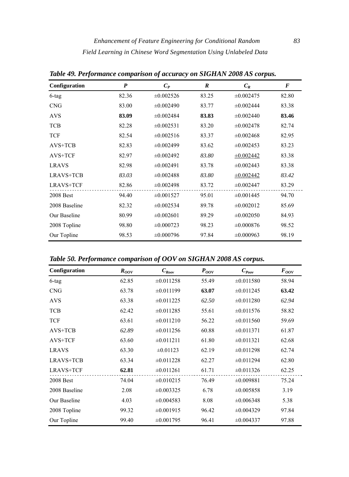| Configuration    | P     | $C_P$          | $\boldsymbol{R}$ | $C_R$          | $\bm{F}$ |
|------------------|-------|----------------|------------------|----------------|----------|
| $6$ -tag         | 82.36 | $\pm 0.002526$ | 83.25            | $\pm 0.002475$ | 82.80    |
| <b>CNG</b>       | 83.00 | $\pm 0.002490$ | 83.77            | $\pm 0.002444$ | 83.38    |
| <b>AVS</b>       | 83.09 | $\pm 0.002484$ | 83.83            | $\pm 0.002440$ | 83.46    |
| <b>TCB</b>       | 82.28 | $\pm 0.002531$ | 83.20            | $\pm 0.002478$ | 82.74    |
| <b>TCF</b>       | 82.54 | $\pm 0.002516$ | 83.37            | $\pm 0.002468$ | 82.95    |
| $AVS+TCB$        | 82.83 | $\pm 0.002499$ | 83.62            | $\pm 0.002453$ | 83.23    |
| AVS+TCF          | 82.97 | $\pm 0.002492$ | 83.80            | $\pm 0.002442$ | 83.38    |
| <b>LRAVS</b>     | 82.98 | $\pm 0.002491$ | 83.78            | $\pm 0.002443$ | 83.38    |
| LRAVS+TCB        | 83.03 | $\pm 0.002488$ | 83.80            | $\pm 0.002442$ | 83.42    |
| <b>LRAVS+TCF</b> | 82.86 | $\pm 0.002498$ | 83.72            | $\pm 0.002447$ | 83.29    |
| 2008 Best        | 94.40 | $\pm 0.001527$ | 95.01            | $\pm 0.001445$ | 94.70    |
| 2008 Baseline    | 82.32 | $\pm 0.002534$ | 89.78            | $\pm 0.002012$ | 85.69    |
| Our Baseline     | 80.99 | $\pm 0.002601$ | 89.29            | $\pm 0.002050$ | 84.93    |
| 2008 Topline     | 98.80 | $\pm 0.000723$ | 98.23            | $\pm 0.000876$ | 98.52    |
| Our Topline      | 98.53 | $\pm 0.000796$ | 97.84            | $\pm 0.000963$ | 98.19    |

*Table 49. Performance comparison of accuracy on SIGHAN 2008 AS corpus.* 

*Table 50. Performance comparison of OOV on SIGHAN 2008 AS corpus.* 

| Configuration               | $R_{OOV}$ | $C_{\mathit{Root}}$ | $P_{OOV}$ | $C_{\it{Poov}}$ | $F_{OOV}$ |
|-----------------------------|-----------|---------------------|-----------|-----------------|-----------|
| 6-tag                       | 62.85     | $\pm 0.011258$      | 55.49     | $\pm 0.011580$  | 58.94     |
| $\ensuremath{\mathrm{CNG}}$ | 63.78     | $\pm 0.011199$      | 63.07     | $\pm 0.011245$  | 63.42     |
| <b>AVS</b>                  | 63.38     | $\pm 0.011225$      | 62.50     | $\pm 0.011280$  | 62.94     |
| <b>TCB</b>                  | 62.42     | $\pm 0.011285$      | 55.61     | $\pm 0.011576$  | 58.82     |
| <b>TCF</b>                  | 63.61     | $\pm 0.011210$      | 56.22     | $\pm 0.011560$  | 59.69     |
| $AVS+TCB$                   | 62.89     | $\pm 0.011256$      | 60.88     | $\pm 0.011371$  | 61.87     |
| AVS+TCF                     | 63.60     | $\pm 0.011211$      | 61.80     | $\pm 0.011321$  | 62.68     |
| <b>LRAVS</b>                | 63.30     | $\pm 0.01123$       | 62.19     | $\pm 0.011298$  | 62.74     |
| LRAVS+TCB                   | 63.34     | $\pm 0.011228$      | 62.27     | $\pm 0.011294$  | 62.80     |
| <b>LRAVS+TCF</b>            | 62.81     | $\pm 0.011261$      | 61.71     | $\pm 0.011326$  | 62.25     |
| <b>2008 Best</b>            | 74.04     | $\pm 0.010215$      | 76.49     | $\pm 0.009881$  | 75.24     |
| 2008 Baseline               | 2.08      | $\pm 0.003325$      | 6.78      | $\pm 0.005858$  | 3.19      |
| Our Baseline                | 4.03      | $\pm 0.004583$      | 8.08      | $\pm 0.006348$  | 5.38      |
| 2008 Topline                | 99.32     | $\pm 0.001915$      | 96.42     | $\pm 0.004329$  | 97.84     |
| Our Topline                 | 99.40     | $\pm 0.001795$      | 96.41     | $\pm 0.004337$  | 97.88     |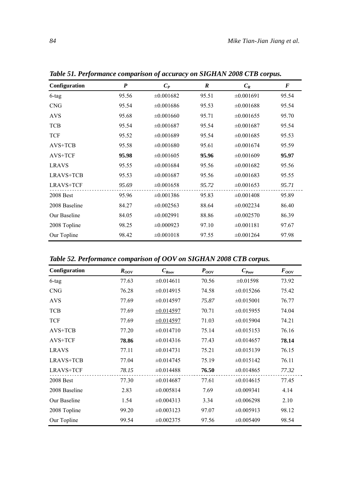| Configuration | P     | $C_P$          | R     | $C_R$          | $\bm{F}$ |
|---------------|-------|----------------|-------|----------------|----------|
| 6-tag         | 95.56 | $\pm 0.001682$ | 95.51 | $\pm 0.001691$ | 95.54    |
| <b>CNG</b>    | 95.54 | $\pm 0.001686$ | 95.53 | $\pm 0.001688$ | 95.54    |
| <b>AVS</b>    | 95.68 | $\pm 0.001660$ | 95.71 | $\pm 0.001655$ | 95.70    |
| <b>TCB</b>    | 95.54 | $\pm 0.001687$ | 95.54 | $\pm 0.001687$ | 95.54    |
| <b>TCF</b>    | 95.52 | $\pm 0.001689$ | 95.54 | $\pm 0.001685$ | 95.53    |
| $AVS+TCB$     | 95.58 | $\pm 0.001680$ | 95.61 | $\pm 0.001674$ | 95.59    |
| AVS+TCF       | 95.98 | $\pm 0.001605$ | 95.96 | $\pm 0.001609$ | 95.97    |
| <b>LRAVS</b>  | 95.55 | $\pm 0.001684$ | 95.56 | $\pm 0.001682$ | 95.56    |
| LRAVS+TCB     | 95.53 | $\pm 0.001687$ | 95.56 | $\pm 0.001683$ | 95.55    |
| LRAVS+TCF     | 95.69 | $\pm 0.001658$ | 95.72 | $\pm 0.001653$ | 95.71    |
| 2008 Best     | 95.96 | $\pm 0.001386$ | 95.83 | $\pm 0.001408$ | 95.89    |
| 2008 Baseline | 84.27 | $\pm 0.002563$ | 88.64 | $\pm 0.002234$ | 86.40    |
| Our Baseline  | 84.05 | $\pm 0.002991$ | 88.86 | $\pm 0.002570$ | 86.39    |
| 2008 Topline  | 98.25 | $\pm 0.000923$ | 97.10 | $\pm 0.001181$ | 97.67    |
| Our Topline   | 98.42 | $\pm 0.001018$ | 97.55 | $\pm 0.001264$ | 97.98    |

*Table 51. Performance comparison of accuracy on SIGHAN 2008 CTB corpus.* 

*Table 52. Performance comparison of OOV on SIGHAN 2008 CTB corpus.* 

| Configuration    | $R_{OOV}$ | $C_{\text{Root}}$ | $P_{OOV}$ | $C_{\text{Poov}}$ | $F_{OOV}$ |
|------------------|-----------|-------------------|-----------|-------------------|-----------|
| 6-tag            | 77.63     | $\pm 0.014611$    | 70.56     | $\pm 0.01598$     | 73.92     |
| <b>CNG</b>       | 76.28     | $\pm 0.014915$    | 74.58     | $\pm 0.015266$    | 75.42     |
| <b>AVS</b>       | 77.69     | $\pm 0.014597$    | 75.87     | $\pm 0.015001$    | 76.77     |
| <b>TCB</b>       | 77.69     | $\pm 0.014597$    | 70.71     | $\pm 0.015955$    | 74.04     |
| <b>TCF</b>       | 77.69     | $\pm 0.014597$    | 71.03     | $\pm 0.015904$    | 74.21     |
| $AVS+TCB$        | 77.20     | $\pm 0.014710$    | 75.14     | $\pm 0.015153$    | 76.16     |
| AVS+TCF          | 78.86     | $\pm 0.014316$    | 77.43     | $\pm 0.014657$    | 78.14     |
| <b>LRAVS</b>     | 77.11     | $\pm 0.014731$    | 75.21     | $\pm 0.015139$    | 76.15     |
| LRAVS+TCB        | 77.04     | $\pm 0.014745$    | 75.19     | $\pm 0.015142$    | 76.11     |
| <b>LRAVS+TCF</b> | 78.15     | $\pm 0.014488$    | 76.50     | $\pm 0.014865$    | 77.32     |
| <b>2008 Best</b> | 77.30     | $\pm 0.014687$    | 77.61     | $\pm 0.014615$    | 77.45     |
| 2008 Baseline    | 2.83      | $\pm 0.005814$    | 7.69      | $\pm 0.009341$    | 4.14      |
| Our Baseline     | 1.54      | $\pm 0.004313$    | 3.34      | $\pm 0.006298$    | 2.10      |
| 2008 Topline     | 99.20     | $\pm 0.003123$    | 97.07     | $\pm 0.005913$    | 98.12     |
| Our Topline      | 99.54     | $\pm 0.002375$    | 97.56     | $\pm 0.005409$    | 98.54     |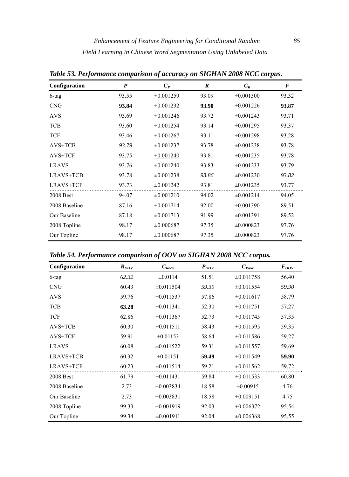| Configuration    | P     | $C_P$          | $\boldsymbol{R}$ | $C_R$          | $\bm{F}$ |
|------------------|-------|----------------|------------------|----------------|----------|
| $6$ -tag         | 93.55 | $\pm 0.001259$ | 93.09            | $\pm 0.001300$ | 93.32    |
| <b>CNG</b>       | 93.84 | $\pm 0.001232$ | 93.90            | $\pm 0.001226$ | 93.87    |
| <b>AVS</b>       | 93.69 | $\pm 0.001246$ | 93.72            | $\pm 0.001243$ | 93.71    |
| <b>TCB</b>       | 93.60 | $\pm 0.001254$ | 93.14            | $\pm 0.001295$ | 93.37    |
| <b>TCF</b>       | 93.46 | $\pm 0.001267$ | 93.11            | $\pm 0.001298$ | 93.28    |
| AVS+TCB          | 93.79 | $\pm 0.001237$ | 93.78            | $\pm 0.001238$ | 93.78    |
| AVS+TCF          | 93.75 | $\pm 0.001240$ | 93.81            | $\pm 0.001235$ | 93.78    |
| <b>LRAVS</b>     | 93.76 | $\pm 0.001240$ | 93.83            | $\pm 0.001233$ | 93.79    |
| LRAVS+TCB        | 93.78 | $\pm 0.001238$ | 93.86            | $\pm 0.001230$ | 93.82    |
| <b>LRAVS+TCF</b> | 93.73 | $\pm 0.001242$ | 93.81            | $\pm 0.001235$ | 93.77    |
| 2008 Best        | 94.07 | $\pm 0.001210$ | 94.02            | $\pm 0.001214$ | 94.05    |
| 2008 Baseline    | 87.16 | $\pm 0.001714$ | 92.00            | $\pm 0.001390$ | 89.51    |
| Our Baseline     | 87.18 | $\pm 0.001713$ | 91.99            | $\pm 0.001391$ | 89.52    |
| 2008 Topline     | 98.17 | $\pm 0.000687$ | 97.35            | $\pm 0.000823$ | 97.76    |
| Our Topline      | 98.17 | $\pm 0.000687$ | 97.35            | $\pm 0.000823$ | 97.76    |

*Table 53. Performance comparison of accuracy on SIGHAN 2008 NCC corpus.* 

*Table 54. Performance comparison of OOV on SIGHAN 2008 NCC corpus.* 

| Configuration    | $R_{OOV}$ | $C_{Row}$      | $P_{OOV}$ | $C_{\text{poov}}$ | $F_{OOV}$ |
|------------------|-----------|----------------|-----------|-------------------|-----------|
| 6-tag            | 62.32     | $\pm 0.0114$   | 51.51     | $\pm 0.011758$    | 56.40     |
| <b>CNG</b>       | 60.43     | $\pm 0.011504$ | 59.39     | $\pm 0.011554$    | 59.90     |
| <b>AVS</b>       | 59.76     | $\pm 0.011537$ | 57.86     | $\pm 0.011617$    | 58.79     |
| <b>TCB</b>       | 63.28     | $\pm 0.011341$ | 52.30     | $\pm 0.011751$    | 57.27     |
| <b>TCF</b>       | 62.86     | $\pm 0.011367$ | 52.73     | $\pm 0.011745$    | 57.35     |
| $AVS+TCB$        | 60.30     | $\pm 0.011511$ | 58.43     | $\pm 0.011595$    | 59.35     |
| AVS+TCF          | 59.91     | $\pm 0.01153$  | 58.64     | $\pm 0.011586$    | 59.27     |
| <b>LRAVS</b>     | 60.08     | $\pm 0.011522$ | 59.31     | $\pm 0.011557$    | 59.69     |
| LRAVS+TCB        | 60.32     | $\pm 0.01151$  | 59.49     | $\pm 0.011549$    | 59.90     |
| <b>LRAVS+TCF</b> | 60.23     | $\pm 0.011514$ | 59.21     | $\pm 0.011562$    | 59.72     |
| 2008 Best        | 61.79     | $\pm 0.011431$ | 59.84     | $\pm 0.011533$    | 60.80     |
| 2008 Baseline    | 2.73      | $\pm 0.003834$ | 18.58     | $\pm 0.00915$     | 4.76      |
| Our Baseline     | 2.73      | $\pm 0.003831$ | 18.58     | $\pm 0.009151$    | 4.75      |
| 2008 Topline     | 99.33     | $\pm 0.001919$ | 92.03     | $\pm 0.006372$    | 95.54     |
| Our Topline      | 99.34     | $\pm 0.001911$ | 92.04     | $\pm 0.006368$    | 95.55     |